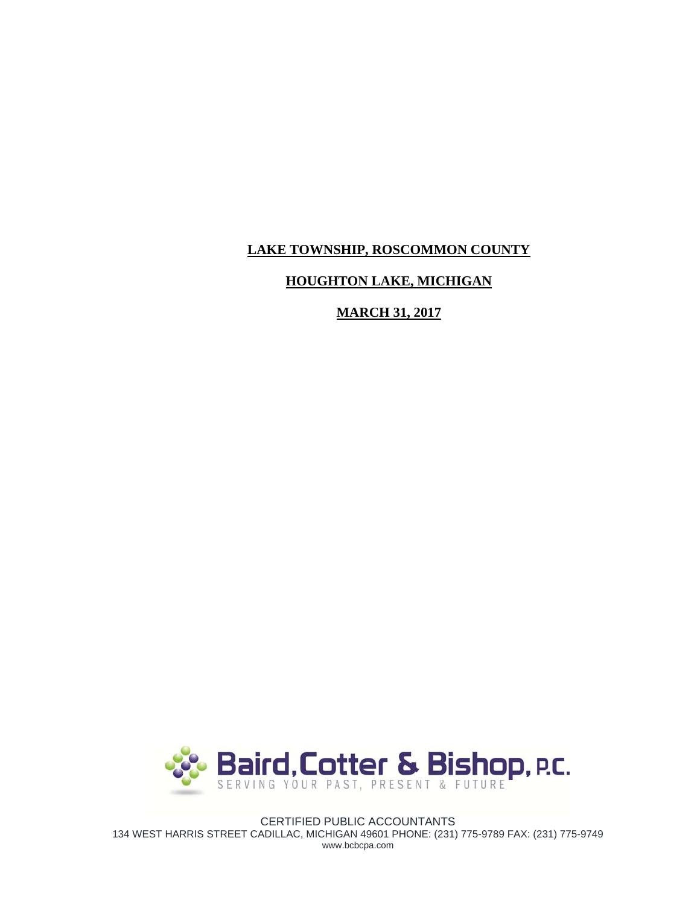# **HOUGHTON LAKE, MICHIGAN**

**MARCH 31, 2017** 



CERTIFIED PUBLIC ACCOUNTANTS 134 WEST HARRIS STREET CADILLAC, MICHIGAN 49601 PHONE: (231) 775-9789 FAX: (231) 775-9749 www.bcbcpa.com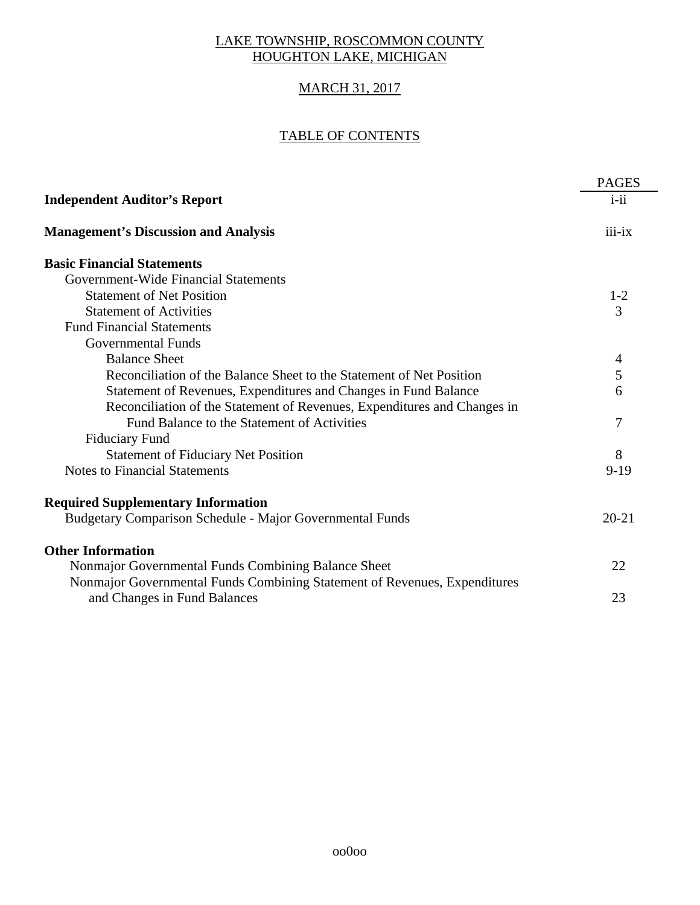# MARCH 31, 2017

# TABLE OF CONTENTS

|                                                                           | <b>PAGES</b>   |
|---------------------------------------------------------------------------|----------------|
| <b>Independent Auditor's Report</b>                                       | $i$ -ii        |
| <b>Management's Discussion and Analysis</b>                               | iii-ix         |
| <b>Basic Financial Statements</b>                                         |                |
| Government-Wide Financial Statements                                      |                |
| <b>Statement of Net Position</b>                                          | $1 - 2$        |
| <b>Statement of Activities</b>                                            | 3              |
| <b>Fund Financial Statements</b>                                          |                |
| <b>Governmental Funds</b>                                                 |                |
| <b>Balance Sheet</b>                                                      | $\overline{4}$ |
| Reconciliation of the Balance Sheet to the Statement of Net Position      | 5              |
| Statement of Revenues, Expenditures and Changes in Fund Balance           | 6              |
| Reconciliation of the Statement of Revenues, Expenditures and Changes in  |                |
| Fund Balance to the Statement of Activities                               | 7              |
| <b>Fiduciary Fund</b>                                                     |                |
| <b>Statement of Fiduciary Net Position</b>                                | 8              |
| <b>Notes to Financial Statements</b>                                      | $9-19$         |
| <b>Required Supplementary Information</b>                                 |                |
| Budgetary Comparison Schedule - Major Governmental Funds                  | $20 - 21$      |
| <b>Other Information</b>                                                  |                |
| Nonmajor Governmental Funds Combining Balance Sheet                       | 22             |
| Nonmajor Governmental Funds Combining Statement of Revenues, Expenditures |                |
| and Changes in Fund Balances                                              | 23             |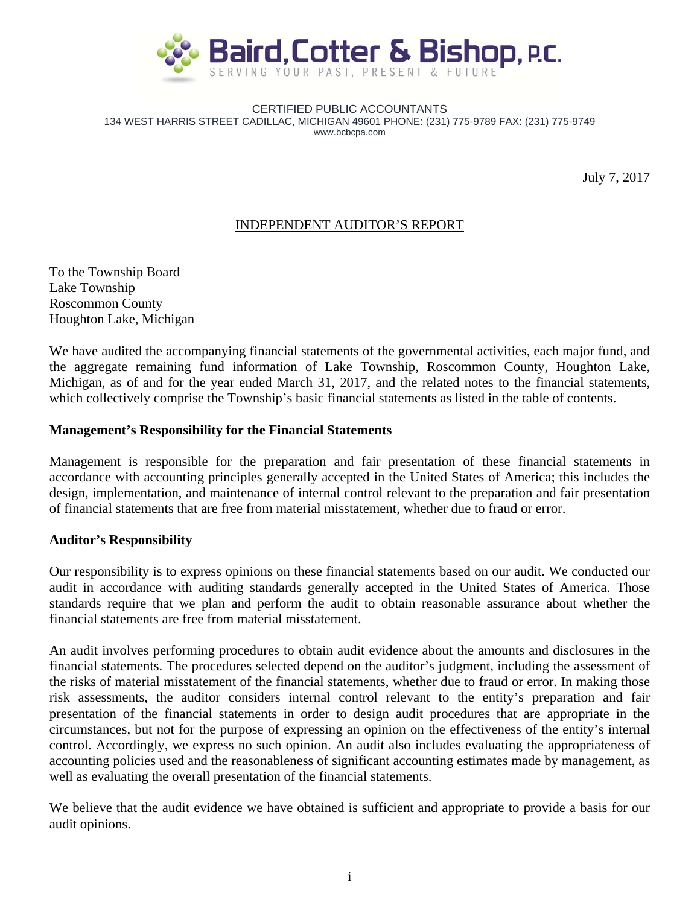

CERTIFIED PUBLIC ACCOUNTANTS 134 WEST HARRIS STREET CADILLAC, MICHIGAN 49601 PHONE: (231) 775-9789 FAX: (231) 775-9749 www.bcbcpa.com

July 7, 2017

### INDEPENDENT AUDITOR'S REPORT

To the Township Board Lake Township Roscommon County Houghton Lake, Michigan

We have audited the accompanying financial statements of the governmental activities, each major fund, and the aggregate remaining fund information of Lake Township, Roscommon County, Houghton Lake, Michigan, as of and for the year ended March 31, 2017, and the related notes to the financial statements, which collectively comprise the Township's basic financial statements as listed in the table of contents.

#### **Management's Responsibility for the Financial Statements**

Management is responsible for the preparation and fair presentation of these financial statements in accordance with accounting principles generally accepted in the United States of America; this includes the design, implementation, and maintenance of internal control relevant to the preparation and fair presentation of financial statements that are free from material misstatement, whether due to fraud or error.

#### **Auditor's Responsibility**

Our responsibility is to express opinions on these financial statements based on our audit. We conducted our audit in accordance with auditing standards generally accepted in the United States of America. Those standards require that we plan and perform the audit to obtain reasonable assurance about whether the financial statements are free from material misstatement.

An audit involves performing procedures to obtain audit evidence about the amounts and disclosures in the financial statements. The procedures selected depend on the auditor's judgment, including the assessment of the risks of material misstatement of the financial statements, whether due to fraud or error. In making those risk assessments, the auditor considers internal control relevant to the entity's preparation and fair presentation of the financial statements in order to design audit procedures that are appropriate in the circumstances, but not for the purpose of expressing an opinion on the effectiveness of the entity's internal control. Accordingly, we express no such opinion. An audit also includes evaluating the appropriateness of accounting policies used and the reasonableness of significant accounting estimates made by management, as well as evaluating the overall presentation of the financial statements.

We believe that the audit evidence we have obtained is sufficient and appropriate to provide a basis for our audit opinions.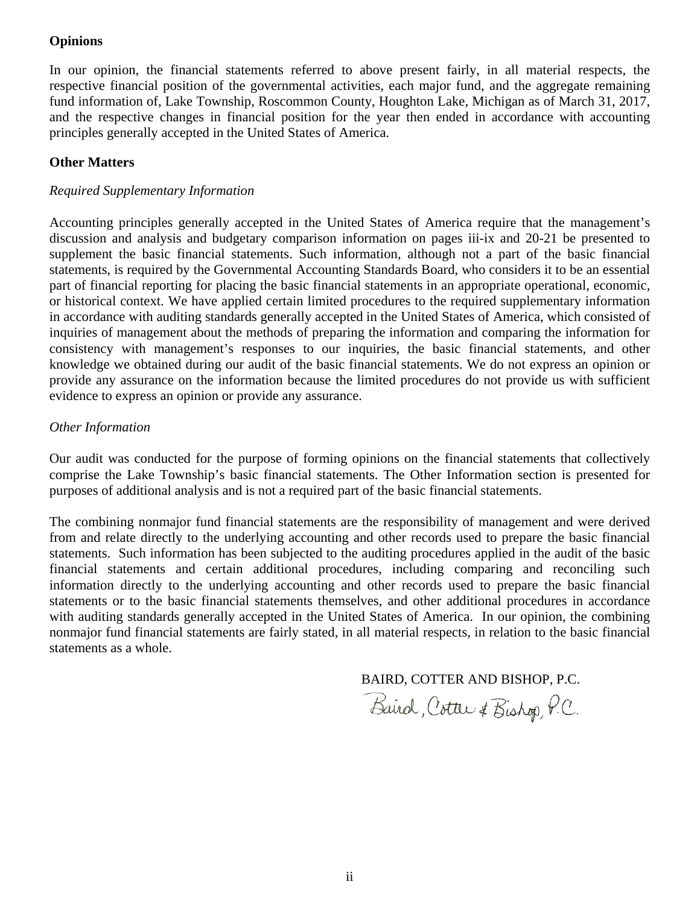#### **Opinions**

In our opinion, the financial statements referred to above present fairly, in all material respects, the respective financial position of the governmental activities, each major fund, and the aggregate remaining fund information of, Lake Township, Roscommon County, Houghton Lake, Michigan as of March 31, 2017, and the respective changes in financial position for the year then ended in accordance with accounting principles generally accepted in the United States of America.

#### **Other Matters**

#### *Required Supplementary Information*

Accounting principles generally accepted in the United States of America require that the management's discussion and analysis and budgetary comparison information on pages iii-ix and 20-21 be presented to supplement the basic financial statements. Such information, although not a part of the basic financial statements, is required by the Governmental Accounting Standards Board, who considers it to be an essential part of financial reporting for placing the basic financial statements in an appropriate operational, economic, or historical context. We have applied certain limited procedures to the required supplementary information in accordance with auditing standards generally accepted in the United States of America, which consisted of inquiries of management about the methods of preparing the information and comparing the information for consistency with management's responses to our inquiries, the basic financial statements, and other knowledge we obtained during our audit of the basic financial statements. We do not express an opinion or provide any assurance on the information because the limited procedures do not provide us with sufficient evidence to express an opinion or provide any assurance.

#### *Other Information*

Our audit was conducted for the purpose of forming opinions on the financial statements that collectively comprise the Lake Township's basic financial statements. The Other Information section is presented for purposes of additional analysis and is not a required part of the basic financial statements.

The combining nonmajor fund financial statements are the responsibility of management and were derived from and relate directly to the underlying accounting and other records used to prepare the basic financial statements. Such information has been subjected to the auditing procedures applied in the audit of the basic financial statements and certain additional procedures, including comparing and reconciling such information directly to the underlying accounting and other records used to prepare the basic financial statements or to the basic financial statements themselves, and other additional procedures in accordance with auditing standards generally accepted in the United States of America. In our opinion, the combining nonmajor fund financial statements are fairly stated, in all material respects, in relation to the basic financial statements as a whole.

BAIRD, COTTER AND BISHOP, P.C.

Baird, Cotter & Bishop, P.C.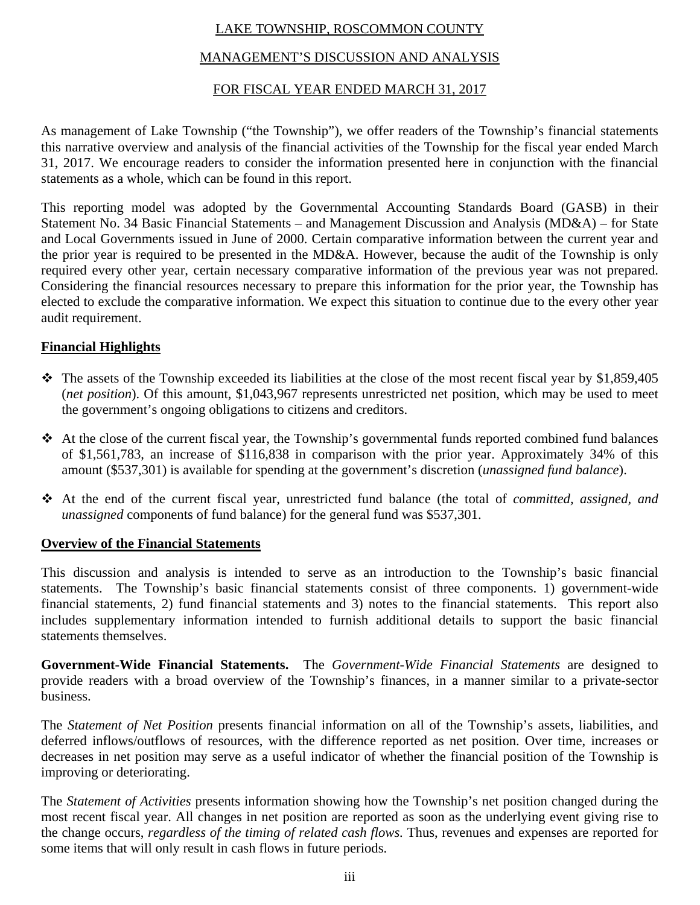# MANAGEMENT'S DISCUSSION AND ANALYSIS

# FOR FISCAL YEAR ENDED MARCH 31, 2017

As management of Lake Township ("the Township"), we offer readers of the Township's financial statements this narrative overview and analysis of the financial activities of the Township for the fiscal year ended March 31, 2017. We encourage readers to consider the information presented here in conjunction with the financial statements as a whole, which can be found in this report.

This reporting model was adopted by the Governmental Accounting Standards Board (GASB) in their Statement No. 34 Basic Financial Statements – and Management Discussion and Analysis (MD&A) – for State and Local Governments issued in June of 2000. Certain comparative information between the current year and the prior year is required to be presented in the MD&A. However, because the audit of the Township is only required every other year, certain necessary comparative information of the previous year was not prepared. Considering the financial resources necessary to prepare this information for the prior year, the Township has elected to exclude the comparative information. We expect this situation to continue due to the every other year audit requirement.

# **Financial Highlights**

- The assets of the Township exceeded its liabilities at the close of the most recent fiscal year by \$1,859,405 (*net position*). Of this amount, \$1,043,967 represents unrestricted net position, which may be used to meet the government's ongoing obligations to citizens and creditors.
- At the close of the current fiscal year, the Township's governmental funds reported combined fund balances of \$1,561,783, an increase of \$116,838 in comparison with the prior year. Approximately 34% of this amount (\$537,301) is available for spending at the government's discretion (*unassigned fund balance*).
- At the end of the current fiscal year, unrestricted fund balance (the total of *committed, assigned, and unassigned* components of fund balance) for the general fund was \$537,301.

# **Overview of the Financial Statements**

This discussion and analysis is intended to serve as an introduction to the Township's basic financial statements. The Township's basic financial statements consist of three components. 1) government-wide financial statements, 2) fund financial statements and 3) notes to the financial statements. This report also includes supplementary information intended to furnish additional details to support the basic financial statements themselves.

**Government-Wide Financial Statements.** The *Government-Wide Financial Statements* are designed to provide readers with a broad overview of the Township's finances, in a manner similar to a private-sector business.

The *Statement of Net Position* presents financial information on all of the Township's assets, liabilities, and deferred inflows/outflows of resources, with the difference reported as net position. Over time, increases or decreases in net position may serve as a useful indicator of whether the financial position of the Township is improving or deteriorating.

The *Statement of Activities* presents information showing how the Township's net position changed during the most recent fiscal year. All changes in net position are reported as soon as the underlying event giving rise to the change occurs, *regardless of the timing of related cash flows.* Thus, revenues and expenses are reported for some items that will only result in cash flows in future periods.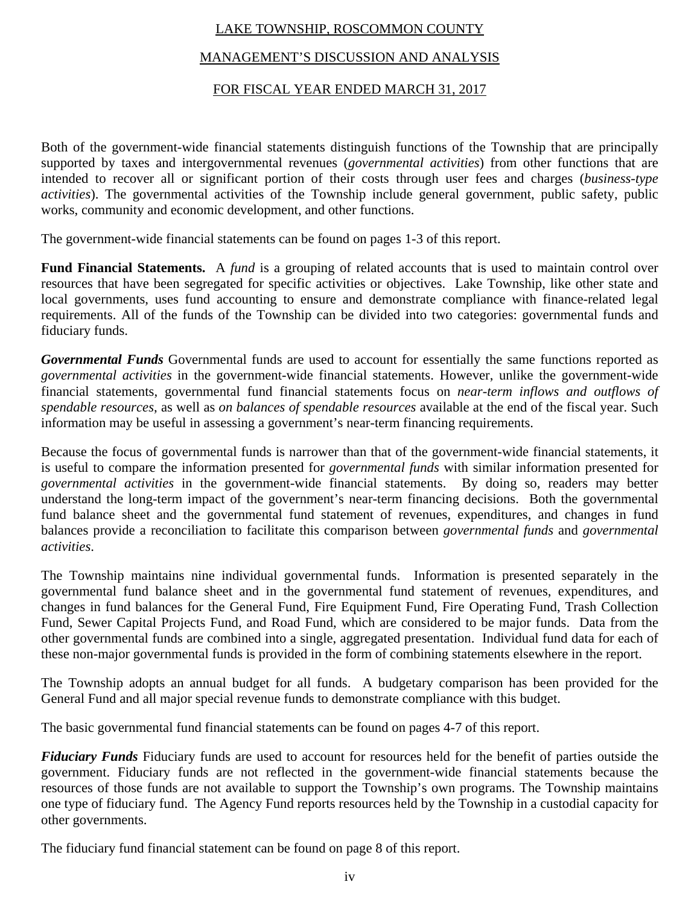# MANAGEMENT'S DISCUSSION AND ANALYSIS

## FOR FISCAL YEAR ENDED MARCH 31, 2017

Both of the government-wide financial statements distinguish functions of the Township that are principally supported by taxes and intergovernmental revenues (*governmental activities*) from other functions that are intended to recover all or significant portion of their costs through user fees and charges (*business-type activities*). The governmental activities of the Township include general government, public safety, public works, community and economic development, and other functions.

The government-wide financial statements can be found on pages 1-3 of this report.

**Fund Financial Statements.** A *fund* is a grouping of related accounts that is used to maintain control over resources that have been segregated for specific activities or objectives. Lake Township, like other state and local governments, uses fund accounting to ensure and demonstrate compliance with finance-related legal requirements. All of the funds of the Township can be divided into two categories: governmental funds and fiduciary funds.

*Governmental Funds* Governmental funds are used to account for essentially the same functions reported as *governmental activities* in the government-wide financial statements. However, unlike the government-wide financial statements, governmental fund financial statements focus on *near-term inflows and outflows of spendable resources*, as well as *on balances of spendable resources* available at the end of the fiscal year. Such information may be useful in assessing a government's near-term financing requirements.

Because the focus of governmental funds is narrower than that of the government-wide financial statements, it is useful to compare the information presented for *governmental funds* with similar information presented for *governmental activities* in the government-wide financial statements. By doing so, readers may better understand the long-term impact of the government's near-term financing decisions. Both the governmental fund balance sheet and the governmental fund statement of revenues, expenditures, and changes in fund balances provide a reconciliation to facilitate this comparison between *governmental funds* and *governmental activities*.

The Township maintains nine individual governmental funds. Information is presented separately in the governmental fund balance sheet and in the governmental fund statement of revenues, expenditures, and changes in fund balances for the General Fund, Fire Equipment Fund, Fire Operating Fund, Trash Collection Fund, Sewer Capital Projects Fund, and Road Fund, which are considered to be major funds. Data from the other governmental funds are combined into a single, aggregated presentation. Individual fund data for each of these non-major governmental funds is provided in the form of combining statements elsewhere in the report.

The Township adopts an annual budget for all funds. A budgetary comparison has been provided for the General Fund and all major special revenue funds to demonstrate compliance with this budget.

The basic governmental fund financial statements can be found on pages 4-7 of this report.

*Fiduciary Funds* Fiduciary funds are used to account for resources held for the benefit of parties outside the government. Fiduciary funds are not reflected in the government-wide financial statements because the resources of those funds are not available to support the Township's own programs. The Township maintains one type of fiduciary fund. The Agency Fund reports resources held by the Township in a custodial capacity for other governments.

The fiduciary fund financial statement can be found on page 8 of this report.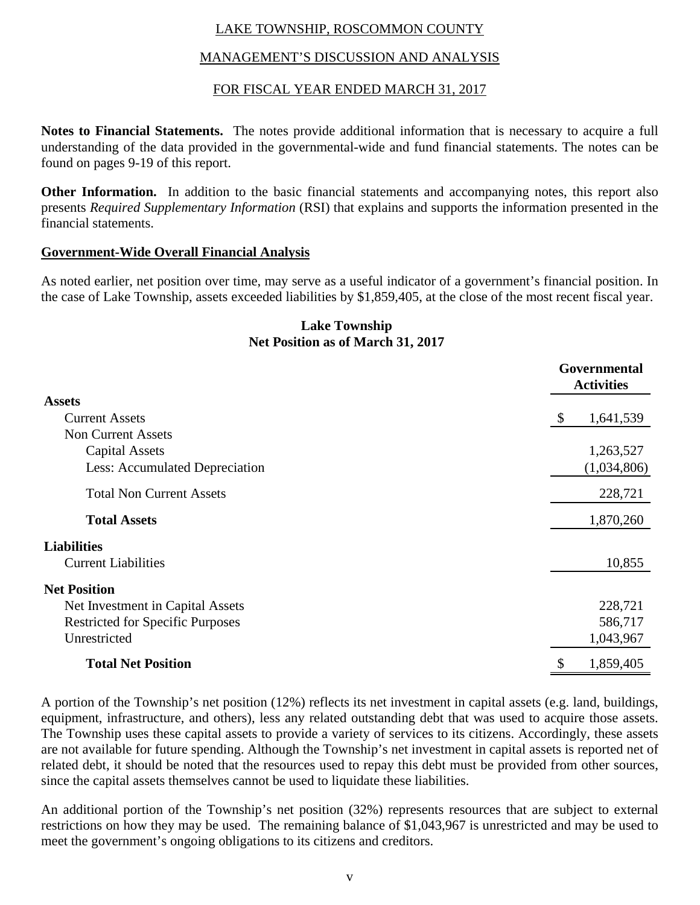# MANAGEMENT'S DISCUSSION AND ANALYSIS

# FOR FISCAL YEAR ENDED MARCH 31, 2017

**Notes to Financial Statements.** The notes provide additional information that is necessary to acquire a full understanding of the data provided in the governmental-wide and fund financial statements. The notes can be found on pages 9-19 of this report.

**Other Information.** In addition to the basic financial statements and accompanying notes, this report also presents *Required Supplementary Information* (RSI) that explains and supports the information presented in the financial statements.

### **Government-Wide Overall Financial Analysis**

As noted earlier, net position over time, may serve as a useful indicator of a government's financial position. In the case of Lake Township, assets exceeded liabilities by \$1,859,405, at the close of the most recent fiscal year.

# **Net Position as of March 31, 2017 Lake Township**

|                                         | Governmental<br><b>Activities</b> |
|-----------------------------------------|-----------------------------------|
| <b>Assets</b>                           |                                   |
| <b>Current Assets</b>                   | $\mathcal{S}$<br>1,641,539        |
| <b>Non Current Assets</b>               |                                   |
| <b>Capital Assets</b>                   | 1,263,527                         |
| Less: Accumulated Depreciation          | (1,034,806)                       |
| <b>Total Non Current Assets</b>         | 228,721                           |
| <b>Total Assets</b>                     | 1,870,260                         |
| <b>Liabilities</b>                      |                                   |
| <b>Current Liabilities</b>              | 10,855                            |
| <b>Net Position</b>                     |                                   |
| Net Investment in Capital Assets        | 228,721                           |
| <b>Restricted for Specific Purposes</b> | 586,717                           |
| Unrestricted                            | 1,043,967                         |
| <b>Total Net Position</b>               | 1,859,405<br>P                    |

A portion of the Township's net position (12%) reflects its net investment in capital assets (e.g. land, buildings, equipment, infrastructure, and others), less any related outstanding debt that was used to acquire those assets. The Township uses these capital assets to provide a variety of services to its citizens. Accordingly, these assets are not available for future spending. Although the Township's net investment in capital assets is reported net of related debt, it should be noted that the resources used to repay this debt must be provided from other sources, since the capital assets themselves cannot be used to liquidate these liabilities.

An additional portion of the Township's net position (32%) represents resources that are subject to external restrictions on how they may be used. The remaining balance of \$1,043,967 is unrestricted and may be used to meet the government's ongoing obligations to its citizens and creditors.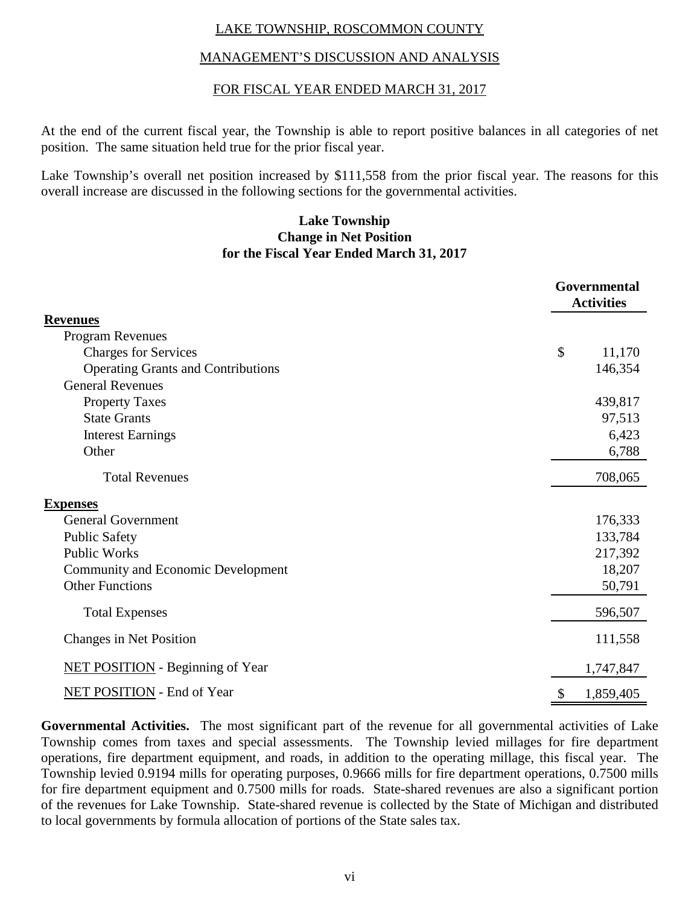# MANAGEMENT'S DISCUSSION AND ANALYSIS

# FOR FISCAL YEAR ENDED MARCH 31, 2017

At the end of the current fiscal year, the Township is able to report positive balances in all categories of net position. The same situation held true for the prior fiscal year.

Lake Township's overall net position increased by \$111,558 from the prior fiscal year. The reasons for this overall increase are discussed in the following sections for the governmental activities.

## **for the Fiscal Year Ended March 31, 2017 Change in Net Position Lake Township**

|                                           |    | Governmental<br><b>Activities</b> |  |  |  |  |
|-------------------------------------------|----|-----------------------------------|--|--|--|--|
| <u>Revenues</u>                           |    |                                   |  |  |  |  |
| <b>Program Revenues</b>                   |    |                                   |  |  |  |  |
| <b>Charges for Services</b>               | \$ | 11,170                            |  |  |  |  |
| <b>Operating Grants and Contributions</b> |    | 146,354                           |  |  |  |  |
| <b>General Revenues</b>                   |    |                                   |  |  |  |  |
| <b>Property Taxes</b>                     |    | 439,817                           |  |  |  |  |
| <b>State Grants</b>                       |    | 97,513                            |  |  |  |  |
| <b>Interest Earnings</b>                  |    | 6,423                             |  |  |  |  |
| Other                                     |    | 6,788                             |  |  |  |  |
| <b>Total Revenues</b>                     |    | 708,065                           |  |  |  |  |
| <b>Expenses</b>                           |    |                                   |  |  |  |  |
| <b>General Government</b>                 |    | 176,333                           |  |  |  |  |
| <b>Public Safety</b>                      |    | 133,784                           |  |  |  |  |
| <b>Public Works</b>                       |    | 217,392                           |  |  |  |  |
| <b>Community and Economic Development</b> |    | 18,207                            |  |  |  |  |
| <b>Other Functions</b>                    |    | 50,791                            |  |  |  |  |
| <b>Total Expenses</b>                     |    | 596,507                           |  |  |  |  |
| <b>Changes in Net Position</b>            |    | 111,558                           |  |  |  |  |
| NET POSITION - Beginning of Year          |    | 1,747,847                         |  |  |  |  |
| NET POSITION - End of Year                | \$ | 1,859,405                         |  |  |  |  |

**Governmental Activities.** The most significant part of the revenue for all governmental activities of Lake Township comes from taxes and special assessments. The Township levied millages for fire department operations, fire department equipment, and roads, in addition to the operating millage, this fiscal year. The Township levied 0.9194 mills for operating purposes, 0.9666 mills for fire department operations, 0.7500 mills for fire department equipment and 0.7500 mills for roads. State-shared revenues are also a significant portion of the revenues for Lake Township. State-shared revenue is collected by the State of Michigan and distributed to local governments by formula allocation of portions of the State sales tax.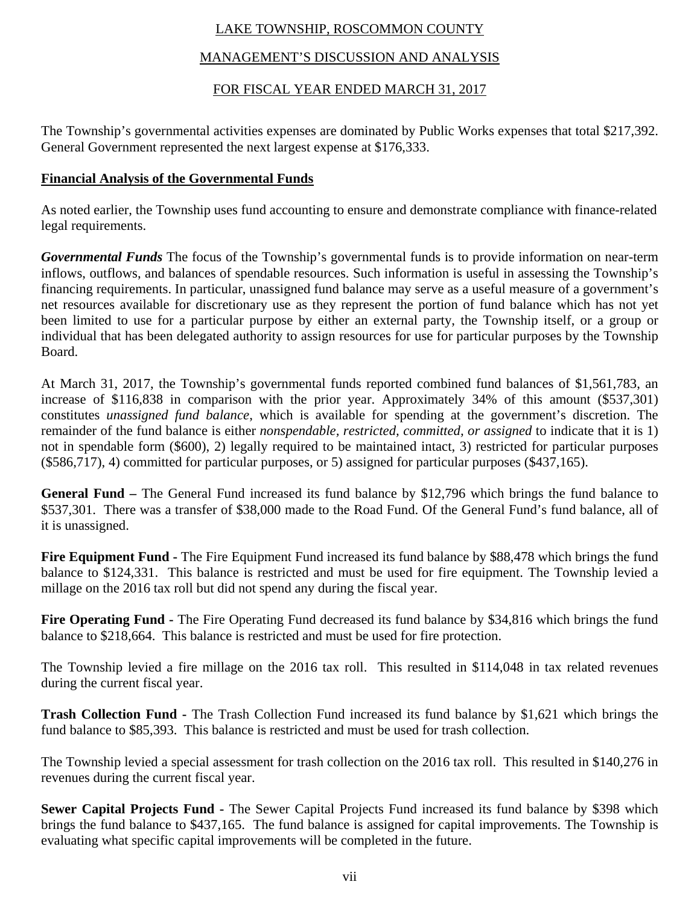# MANAGEMENT'S DISCUSSION AND ANALYSIS

# FOR FISCAL YEAR ENDED MARCH 31, 2017

The Township's governmental activities expenses are dominated by Public Works expenses that total \$217,392. General Government represented the next largest expense at \$176,333.

# **Financial Analysis of the Governmental Funds**

As noted earlier, the Township uses fund accounting to ensure and demonstrate compliance with finance-related legal requirements.

*Governmental Funds* The focus of the Township's governmental funds is to provide information on near-term inflows, outflows, and balances of spendable resources. Such information is useful in assessing the Township's financing requirements. In particular, unassigned fund balance may serve as a useful measure of a government's net resources available for discretionary use as they represent the portion of fund balance which has not yet been limited to use for a particular purpose by either an external party, the Township itself, or a group or individual that has been delegated authority to assign resources for use for particular purposes by the Township Board.

At March 31, 2017, the Township's governmental funds reported combined fund balances of \$1,561,783, an increase of \$116,838 in comparison with the prior year. Approximately 34% of this amount (\$537,301) constitutes *unassigned fund balance*, which is available for spending at the government's discretion. The remainder of the fund balance is either *nonspendable, restricted, committed, or assigned* to indicate that it is 1) not in spendable form (\$600), 2) legally required to be maintained intact, 3) restricted for particular purposes (\$586,717), 4) committed for particular purposes, or 5) assigned for particular purposes (\$437,165).

**General Fund –** The General Fund increased its fund balance by \$12,796 which brings the fund balance to \$537,301. There was a transfer of \$38,000 made to the Road Fund. Of the General Fund's fund balance, all of it is unassigned.

**Fire Equipment Fund -** The Fire Equipment Fund increased its fund balance by \$88,478 which brings the fund balance to \$124,331. This balance is restricted and must be used for fire equipment. The Township levied a millage on the 2016 tax roll but did not spend any during the fiscal year.

**Fire Operating Fund -** The Fire Operating Fund decreased its fund balance by \$34,816 which brings the fund balance to \$218,664. This balance is restricted and must be used for fire protection.

The Township levied a fire millage on the 2016 tax roll. This resulted in \$114,048 in tax related revenues during the current fiscal year.

**Trash Collection Fund -** The Trash Collection Fund increased its fund balance by \$1,621 which brings the fund balance to \$85,393. This balance is restricted and must be used for trash collection.

The Township levied a special assessment for trash collection on the 2016 tax roll. This resulted in \$140,276 in revenues during the current fiscal year.

**Sewer Capital Projects Fund -** The Sewer Capital Projects Fund increased its fund balance by \$398 which brings the fund balance to \$437,165. The fund balance is assigned for capital improvements. The Township is evaluating what specific capital improvements will be completed in the future.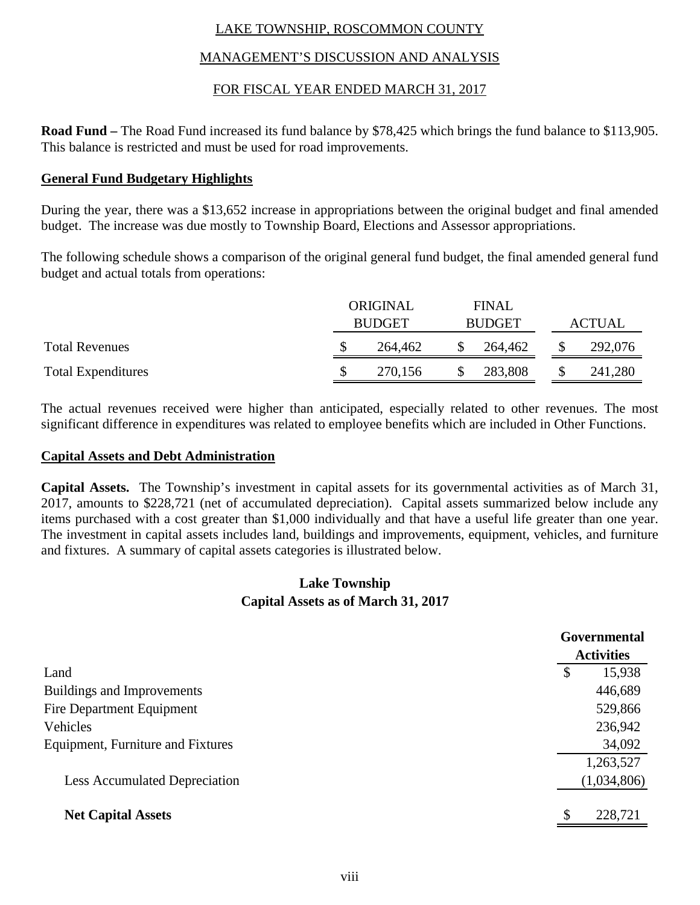# MANAGEMENT'S DISCUSSION AND ANALYSIS

# FOR FISCAL YEAR ENDED MARCH 31, 2017

**Road Fund –** The Road Fund increased its fund balance by \$78,425 which brings the fund balance to \$113,905. This balance is restricted and must be used for road improvements.

# **General Fund Budgetary Highlights**

During the year, there was a \$13,652 increase in appropriations between the original budget and final amended budget. The increase was due mostly to Township Board, Elections and Assessor appropriations.

The following schedule shows a comparison of the original general fund budget, the final amended general fund budget and actual totals from operations:

|                           |               | ORIGINAL |  | <b>FINAL</b>  |               |
|---------------------------|---------------|----------|--|---------------|---------------|
|                           | <b>BUDGET</b> |          |  | <b>BUDGET</b> | <b>ACTUAL</b> |
| <b>Total Revenues</b>     |               | 264,462  |  | 264,462       | 292,076       |
| <b>Total Expenditures</b> |               | 270,156  |  | 283,808       | 241,280       |

The actual revenues received were higher than anticipated, especially related to other revenues. The most significant difference in expenditures was related to employee benefits which are included in Other Functions.

#### **Capital Assets and Debt Administration**

**Capital Assets.** The Township's investment in capital assets for its governmental activities as of March 31, 2017, amounts to \$228,721 (net of accumulated depreciation). Capital assets summarized below include any items purchased with a cost greater than \$1,000 individually and that have a useful life greater than one year. The investment in capital assets includes land, buildings and improvements, equipment, vehicles, and furniture and fixtures. A summary of capital assets categories is illustrated below.

# **Capital Assets as of March 31, 2017 Lake Township**

|                                      | Governmental<br><b>Activities</b> |
|--------------------------------------|-----------------------------------|
| Land                                 | \$<br>15,938                      |
| Buildings and Improvements           | 446,689                           |
| <b>Fire Department Equipment</b>     | 529,866                           |
| Vehicles                             | 236,942                           |
| Equipment, Furniture and Fixtures    | 34,092                            |
|                                      | 1,263,527                         |
| <b>Less Accumulated Depreciation</b> | (1,034,806)                       |
| <b>Net Capital Assets</b>            | \$<br>228,721                     |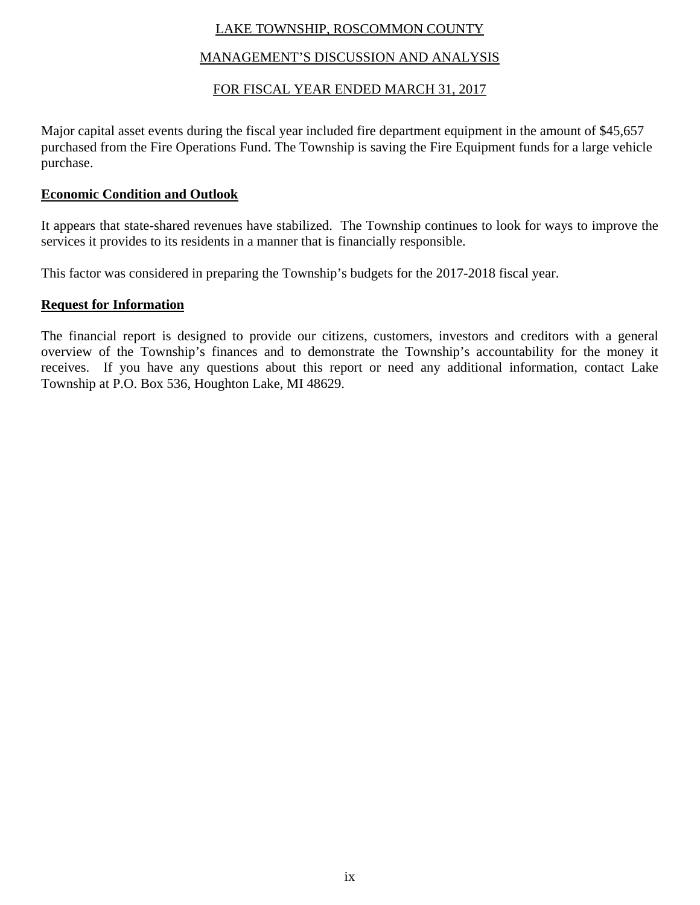# MANAGEMENT'S DISCUSSION AND ANALYSIS

# FOR FISCAL YEAR ENDED MARCH 31, 2017

Major capital asset events during the fiscal year included fire department equipment in the amount of \$45,657 purchased from the Fire Operations Fund. The Township is saving the Fire Equipment funds for a large vehicle purchase.

# **Economic Condition and Outlook**

It appears that state-shared revenues have stabilized. The Township continues to look for ways to improve the services it provides to its residents in a manner that is financially responsible.

This factor was considered in preparing the Township's budgets for the 2017-2018 fiscal year.

# **Request for Information**

The financial report is designed to provide our citizens, customers, investors and creditors with a general overview of the Township's finances and to demonstrate the Township's accountability for the money it receives. If you have any questions about this report or need any additional information, contact Lake Township at P.O. Box 536, Houghton Lake, MI 48629.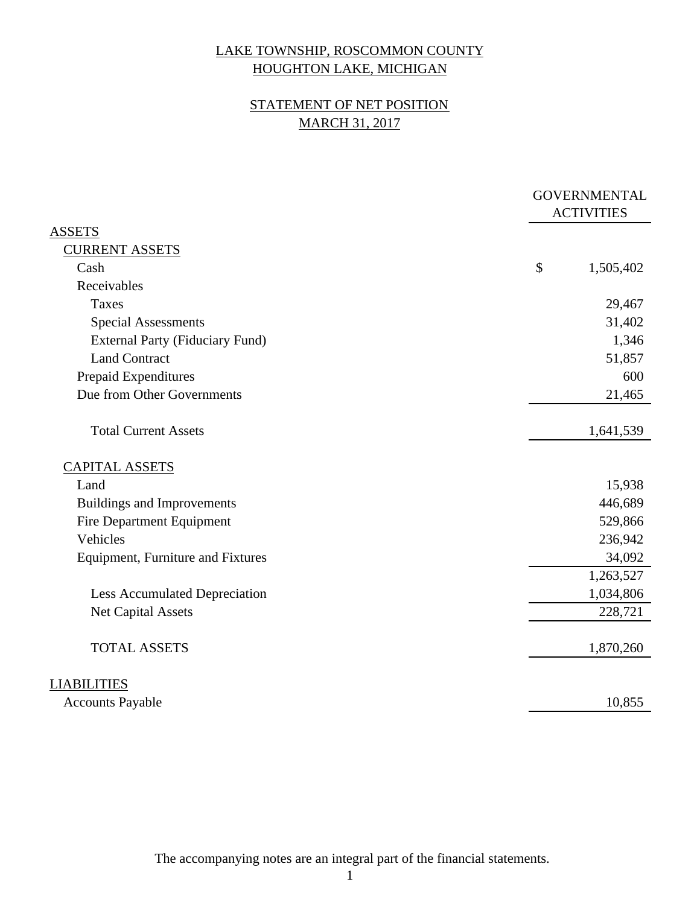# MARCH 31, 2017 STATEMENT OF NET POSITION

|                                        | <b>GOVERNMENTAL</b><br><b>ACTIVITIES</b> |
|----------------------------------------|------------------------------------------|
| <b>ASSETS</b>                          |                                          |
| <b>CURRENT ASSETS</b>                  |                                          |
| Cash                                   | $\boldsymbol{\mathsf{S}}$<br>1,505,402   |
| Receivables                            |                                          |
| <b>Taxes</b>                           | 29,467                                   |
| <b>Special Assessments</b>             | 31,402                                   |
| <b>External Party (Fiduciary Fund)</b> | 1,346                                    |
| <b>Land Contract</b>                   | 51,857                                   |
| Prepaid Expenditures                   | 600                                      |
| Due from Other Governments             | 21,465                                   |
| <b>Total Current Assets</b>            | 1,641,539                                |
| <b>CAPITAL ASSETS</b>                  |                                          |
| Land                                   | 15,938                                   |
| <b>Buildings and Improvements</b>      | 446,689                                  |
| <b>Fire Department Equipment</b>       | 529,866                                  |
| Vehicles                               | 236,942                                  |
| Equipment, Furniture and Fixtures      | 34,092                                   |
|                                        | 1,263,527                                |
| <b>Less Accumulated Depreciation</b>   | 1,034,806                                |
| Net Capital Assets                     | 228,721                                  |
| <b>TOTAL ASSETS</b>                    | 1,870,260                                |
| <b>LIABILITIES</b>                     |                                          |
| <b>Accounts Payable</b>                | 10,855                                   |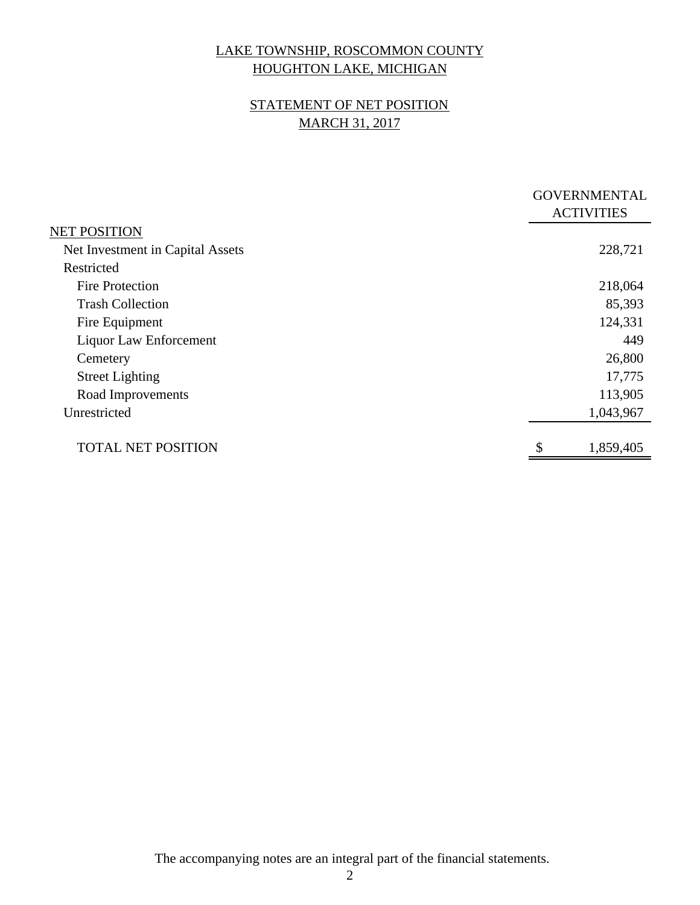# MARCH 31, 2017 STATEMENT OF NET POSITION

|                                  | <b>GOVERNMENTAL</b><br><b>ACTIVITIES</b> |
|----------------------------------|------------------------------------------|
| <b>NET POSITION</b>              |                                          |
| Net Investment in Capital Assets | 228,721                                  |
| Restricted                       |                                          |
| <b>Fire Protection</b>           | 218,064                                  |
| <b>Trash Collection</b>          | 85,393                                   |
| Fire Equipment                   | 124,331                                  |
| Liquor Law Enforcement           | 449                                      |
| Cemetery                         | 26,800                                   |
| <b>Street Lighting</b>           | 17,775                                   |
| Road Improvements                | 113,905                                  |
| Unrestricted                     | 1,043,967                                |
| <b>TOTAL NET POSITION</b>        | 1,859,405<br>\$                          |
|                                  |                                          |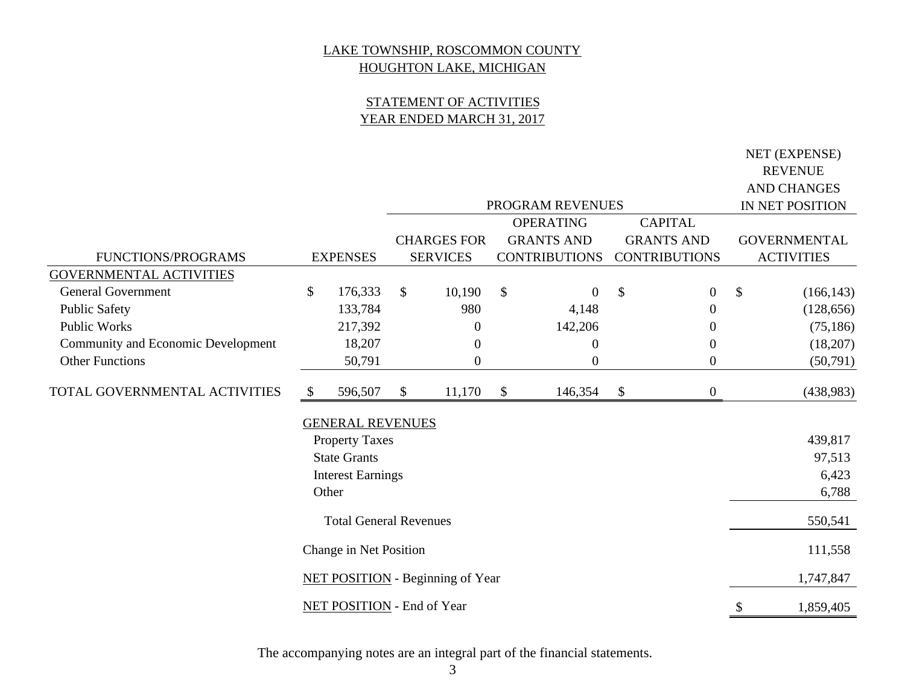## YEAR ENDED MARCH 31, 2017 STATEMENT OF ACTIVITIES

|                                           |                               |              |                                         |                      |                      |                  | NET (EXPENSE)       |
|-------------------------------------------|-------------------------------|--------------|-----------------------------------------|----------------------|----------------------|------------------|---------------------|
|                                           |                               |              |                                         |                      |                      |                  | <b>REVENUE</b>      |
|                                           |                               |              |                                         |                      |                      |                  | <b>AND CHANGES</b>  |
|                                           |                               |              |                                         | PROGRAM REVENUES     |                      |                  | IN NET POSITION     |
|                                           |                               |              |                                         | <b>OPERATING</b>     | <b>CAPITAL</b>       |                  |                     |
|                                           |                               |              | <b>CHARGES FOR</b>                      | <b>GRANTS AND</b>    | <b>GRANTS AND</b>    |                  | <b>GOVERNMENTAL</b> |
| FUNCTIONS/PROGRAMS                        | <b>EXPENSES</b>               |              | <b>SERVICES</b>                         | <b>CONTRIBUTIONS</b> | <b>CONTRIBUTIONS</b> |                  | <b>ACTIVITIES</b>   |
| <b>GOVERNMENTAL ACTIVITIES</b>            |                               |              |                                         |                      |                      |                  |                     |
| <b>General Government</b>                 | \$<br>176,333                 | $\mathbb{S}$ | 10,190                                  | \$<br>$\overline{0}$ | \$                   | $\overline{0}$   | \$<br>(166, 143)    |
| <b>Public Safety</b>                      | 133,784                       |              | 980                                     | 4,148                |                      | $\overline{0}$   | (128, 656)          |
| <b>Public Works</b>                       | 217,392                       |              | $\overline{0}$                          | 142,206              |                      | $\Omega$         | (75, 186)           |
| <b>Community and Economic Development</b> | 18,207                        |              | $\overline{0}$                          | $\boldsymbol{0}$     |                      | $\Omega$         | (18,207)            |
| <b>Other Functions</b>                    | 50,791                        |              | $\boldsymbol{0}$                        | $\boldsymbol{0}$     |                      | $\overline{0}$   | (50,791)            |
| TOTAL GOVERNMENTAL ACTIVITIES             | \$<br>596,507                 | $\mathbb{S}$ | 11,170                                  | \$<br>146,354        | \$                   | $\boldsymbol{0}$ | (438,983)           |
|                                           | <b>GENERAL REVENUES</b>       |              |                                         |                      |                      |                  |                     |
|                                           | <b>Property Taxes</b>         |              |                                         |                      |                      |                  | 439,817             |
|                                           | <b>State Grants</b>           |              |                                         |                      |                      |                  | 97,513              |
|                                           | <b>Interest Earnings</b>      |              |                                         |                      |                      |                  | 6,423               |
|                                           | Other                         |              |                                         |                      |                      |                  | 6,788               |
|                                           | <b>Total General Revenues</b> |              |                                         |                      |                      |                  |                     |
|                                           |                               |              |                                         |                      |                      |                  | 550,541             |
|                                           | Change in Net Position        |              |                                         |                      |                      |                  | 111,558             |
|                                           |                               |              | <b>NET POSITION</b> - Beginning of Year |                      |                      |                  | 1,747,847           |
|                                           | NET POSITION - End of Year    |              |                                         |                      |                      |                  | \$<br>1,859,405     |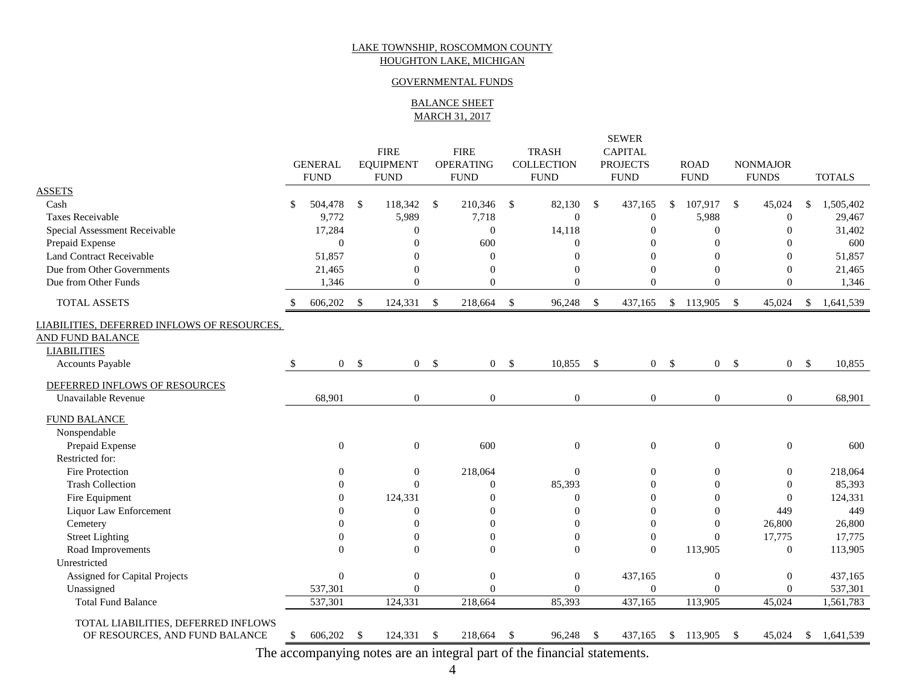#### GOVERNMENTAL FUNDS

#### BALANCE SHEET MARCH 31, 2017

|                                                                       |     |                |               |                  |                      |            |                   |              | <b>SEWER</b>    |              |                  |                           |                  |              |               |
|-----------------------------------------------------------------------|-----|----------------|---------------|------------------|----------------------|------------|-------------------|--------------|-----------------|--------------|------------------|---------------------------|------------------|--------------|---------------|
|                                                                       |     |                |               | <b>FIRE</b>      | <b>FIRE</b>          |            | <b>TRASH</b>      |              | <b>CAPITAL</b>  |              |                  |                           |                  |              |               |
|                                                                       |     | <b>GENERAL</b> |               | <b>EQUIPMENT</b> | <b>OPERATING</b>     |            | <b>COLLECTION</b> |              | <b>PROJECTS</b> |              | <b>ROAD</b>      |                           | <b>NONMAJOR</b>  |              |               |
|                                                                       |     | <b>FUND</b>    |               | <b>FUND</b>      | <b>FUND</b>          |            | <b>FUND</b>       |              | <b>FUND</b>     |              | <b>FUND</b>      |                           | <b>FUNDS</b>     |              | <b>TOTALS</b> |
| <b>ASSETS</b>                                                         |     |                |               |                  |                      |            |                   |              |                 |              |                  |                           |                  |              |               |
| Cash                                                                  | \$. | 504,478        | -\$           | 118,342          | \$<br>210,346        | \$         | 82,130            | -S           | 437,165         | $\mathbb{S}$ | 107,917          | -S                        | 45,024           | \$           | 1,505,402     |
| <b>Taxes Receivable</b>                                               |     | 9,772          |               | 5,989            | 7,718                |            | $\overline{0}$    |              | $\overline{0}$  |              | 5,988            |                           | $\overline{0}$   |              | 29,467        |
| Special Assessment Receivable                                         |     | 17,284         |               | $\overline{0}$   | $\theta$             |            | 14,118            |              | $\theta$        |              | $\mathbf{0}$     |                           | $\theta$         |              | 31,402        |
| Prepaid Expense                                                       |     | $\theta$       |               | $\theta$         | 600                  |            | $\mathbf{0}$      |              | $\Omega$        |              | $\Omega$         |                           | $\Omega$         |              | 600           |
| <b>Land Contract Receivable</b>                                       |     | 51,857         |               | $\Omega$         | $\theta$             |            | $\Omega$          |              | $\Omega$        |              | $\Omega$         |                           | $\theta$         |              | 51,857        |
| Due from Other Governments                                            |     | 21,465         |               | $\theta$         | $\theta$             |            | $\Omega$          |              | $\Omega$        |              | $\Omega$         |                           | $\Omega$         |              | 21,465        |
| Due from Other Funds                                                  |     | 1,346          |               | $\Omega$         | $\Omega$             |            | $\Omega$          |              | $\Omega$        |              | $\Omega$         |                           | $\Omega$         |              | 1,346         |
| <b>TOTAL ASSETS</b>                                                   |     | 606,202        | $\mathcal{S}$ | 124,331          | \$<br>218,664        | \$         | 96,248            | $\mathbb{S}$ | 437,165         | \$           | 113,905          | $\mathcal{S}$             | 45,024           | $\mathbb{S}$ | 1,641,539     |
| LIABILITIES, DEFERRED INFLOWS OF RESOURCES,                           |     |                |               |                  |                      |            |                   |              |                 |              |                  |                           |                  |              |               |
| AND FUND BALANCE                                                      |     |                |               |                  |                      |            |                   |              |                 |              |                  |                           |                  |              |               |
| <b>LIABILITIES</b>                                                    |     |                |               |                  |                      |            |                   |              |                 |              |                  |                           |                  |              |               |
| <b>Accounts Payable</b>                                               | -S  | $\overline{0}$ | \$            | $\overline{0}$   | \$<br>$\overline{0}$ | $\sqrt{3}$ | 10,855            | -\$          | $\overline{0}$  | \$           | $\mathbf{0}$     | $\boldsymbol{\mathsf{S}}$ | $\overline{0}$   | $\mathbb{S}$ | 10,855        |
| DEFERRED INFLOWS OF RESOURCES                                         |     |                |               |                  |                      |            |                   |              |                 |              |                  |                           |                  |              |               |
| Unavailable Revenue                                                   |     | 68,901         |               | $\overline{0}$   | $\boldsymbol{0}$     |            | $\boldsymbol{0}$  |              | $\overline{0}$  |              | $\boldsymbol{0}$ |                           | $\boldsymbol{0}$ |              | 68,901        |
| <b>FUND BALANCE</b>                                                   |     |                |               |                  |                      |            |                   |              |                 |              |                  |                           |                  |              |               |
| Nonspendable                                                          |     |                |               |                  |                      |            |                   |              |                 |              |                  |                           |                  |              |               |
| Prepaid Expense                                                       |     | $\theta$       |               | $\overline{0}$   | 600                  |            | $\boldsymbol{0}$  |              | $\mathbf{0}$    |              | $\overline{0}$   |                           | $\overline{0}$   |              | 600           |
| Restricted for:                                                       |     |                |               |                  |                      |            |                   |              |                 |              |                  |                           |                  |              |               |
| <b>Fire Protection</b>                                                |     | $\mathbf{0}$   |               | $\overline{0}$   | 218,064              |            | $\theta$          |              | $\overline{0}$  |              | $\mathbf{0}$     |                           | $\overline{0}$   |              | 218,064       |
| <b>Trash Collection</b>                                               |     | $\overline{0}$ |               | $\Omega$         | $\theta$             |            | 85,393            |              | $\theta$        |              | $\mathbf{0}$     |                           | $\mathbf{0}$     |              | 85,393        |
| Fire Equipment                                                        |     | $\Omega$       |               | 124,331          | $\Omega$             |            | $\mathbf{0}$      |              | $\Omega$        |              | $\Omega$         |                           | $\Omega$         |              | 124,331       |
| Liquor Law Enforcement                                                |     | $\Omega$       |               | $\theta$         | $\Omega$             |            | $\overline{0}$    |              | $\Omega$        |              | $\Omega$         |                           | 449              |              | 449           |
| Cemetery                                                              |     | $\Omega$       |               | $\theta$         | $\Omega$             |            | $\theta$          |              | $\Omega$        |              | $\Omega$         |                           | 26,800           |              | 26,800        |
| <b>Street Lighting</b>                                                |     | $\Omega$       |               | $\theta$         | $\Omega$             |            | $\overline{0}$    |              | $\Omega$        |              | $\Omega$         |                           | 17,775           |              | 17,775        |
| Road Improvements                                                     |     | $\Omega$       |               | $\Omega$         | $\Omega$             |            | $\overline{0}$    |              | $\Omega$        |              | 113,905          |                           | $\overline{0}$   |              | 113,905       |
| Unrestricted                                                          |     |                |               |                  |                      |            |                   |              |                 |              |                  |                           |                  |              |               |
| Assigned for Capital Projects                                         |     | $\Omega$       |               | $\Omega$         | $\mathbf{0}$         |            | $\boldsymbol{0}$  |              | 437,165         |              | $\theta$         |                           | $\overline{0}$   |              | 437,165       |
| Unassigned                                                            |     | 537,301        |               | $\theta$         | $\Omega$             |            | $\theta$          |              | $\Omega$        |              | $\Omega$         |                           | $\Omega$         |              | 537,301       |
| <b>Total Fund Balance</b>                                             |     | 537,301        |               | 124,331          | 218,664              |            | 85,393            |              | 437,165         |              | 113,905          |                           | 45,024           |              | 1,561,783     |
|                                                                       |     |                |               |                  |                      |            |                   |              |                 |              |                  |                           |                  |              |               |
| TOTAL LIABILITIES, DEFERRED INFLOWS<br>OF RESOURCES, AND FUND BALANCE | \$  | 606,202        | -S            | 124,331          | \$<br>218,664        | \$         | 96,248            | - \$         | 437,165         |              | \$113,905        | -\$                       | 45,024           | \$           | 1,641,539     |
|                                                                       |     |                |               |                  |                      |            |                   |              |                 |              |                  |                           |                  |              |               |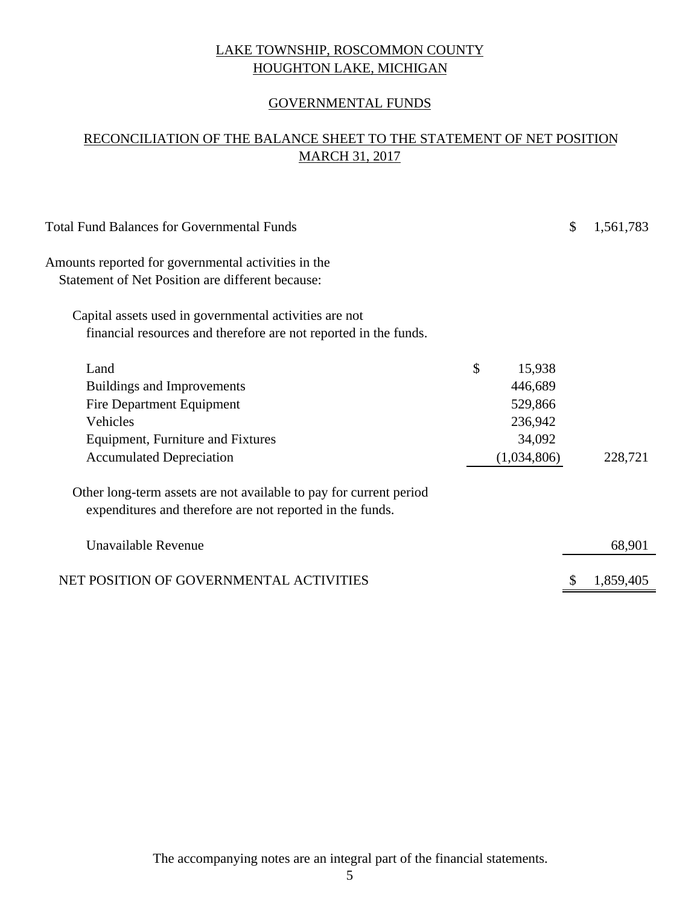# GOVERNMENTAL FUNDS

# RECONCILIATION OF THE BALANCE SHEET TO THE STATEMENT OF NET POSITION MARCH 31, 2017

| <b>Total Fund Balances for Governmental Funds</b>                  |    |             |   |           |  |  |  |  |  |
|--------------------------------------------------------------------|----|-------------|---|-----------|--|--|--|--|--|
| Amounts reported for governmental activities in the                |    |             |   |           |  |  |  |  |  |
| Statement of Net Position are different because:                   |    |             |   |           |  |  |  |  |  |
| Capital assets used in governmental activities are not             |    |             |   |           |  |  |  |  |  |
| financial resources and therefore are not reported in the funds.   |    |             |   |           |  |  |  |  |  |
| Land                                                               | \$ | 15,938      |   |           |  |  |  |  |  |
| <b>Buildings and Improvements</b>                                  |    | 446,689     |   |           |  |  |  |  |  |
| <b>Fire Department Equipment</b>                                   |    | 529,866     |   |           |  |  |  |  |  |
| Vehicles                                                           |    | 236,942     |   |           |  |  |  |  |  |
| Equipment, Furniture and Fixtures                                  |    | 34,092      |   |           |  |  |  |  |  |
| <b>Accumulated Depreciation</b>                                    |    | (1,034,806) |   | 228,721   |  |  |  |  |  |
| Other long-term assets are not available to pay for current period |    |             |   |           |  |  |  |  |  |
| expenditures and therefore are not reported in the funds.          |    |             |   |           |  |  |  |  |  |
| Unavailable Revenue                                                |    |             |   | 68,901    |  |  |  |  |  |
| NET POSITION OF GOVERNMENTAL ACTIVITIES                            |    |             | P | 1,859,405 |  |  |  |  |  |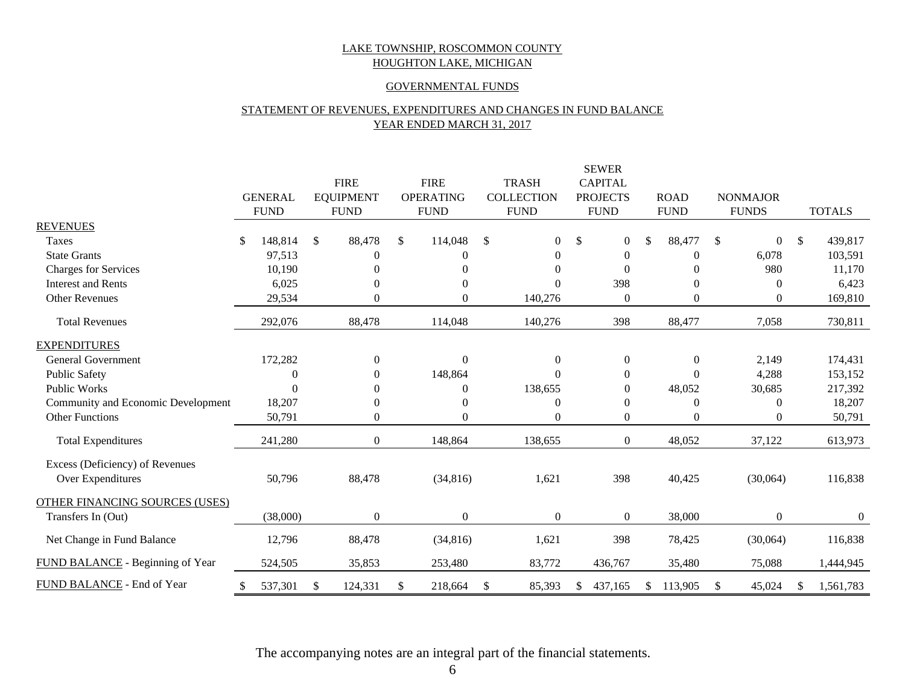#### HOUGHTON LAKE, MICHIGAN LAKE TOWNSHIP, ROSCOMMON COUNTY

#### GOVERNMENTAL FUNDS

#### YEAR ENDED MARCH 31, 2017 STATEMENT OF REVENUES, EXPENDITURES AND CHANGES IN FUND BALANCE

|                                    |               |                |                  |                  |               |                   |               | <b>SEWER</b>     |                  |               |                 |              |                |
|------------------------------------|---------------|----------------|------------------|------------------|---------------|-------------------|---------------|------------------|------------------|---------------|-----------------|--------------|----------------|
|                                    |               |                | <b>FIRE</b>      | <b>FIRE</b>      |               | <b>TRASH</b>      |               | <b>CAPITAL</b>   |                  |               |                 |              |                |
|                                    |               | <b>GENERAL</b> | <b>EQUIPMENT</b> | <b>OPERATING</b> |               | <b>COLLECTION</b> |               | <b>PROJECTS</b>  | <b>ROAD</b>      |               | <b>NONMAJOR</b> |              |                |
|                                    |               | <b>FUND</b>    | <b>FUND</b>      | <b>FUND</b>      |               | <b>FUND</b>       |               | <b>FUND</b>      | <b>FUND</b>      |               | <b>FUNDS</b>    |              | <b>TOTALS</b>  |
| <b>REVENUES</b>                    |               |                |                  |                  |               |                   |               |                  |                  |               |                 |              |                |
| Taxes                              | <sup>\$</sup> | 148,814        | \$<br>88,478     | \$<br>114,048    | -\$           | $\overline{0}$    | <sup>\$</sup> | $\overline{0}$   | \$<br>88,477     | $\mathcal{S}$ | $\Omega$        | $\mathbb{S}$ | 439,817        |
| <b>State Grants</b>                |               | 97,513         | $\theta$         | 0                |               | $\theta$          |               | $\overline{0}$   | $\mathbf{0}$     |               | 6,078           |              | 103,591        |
| <b>Charges for Services</b>        |               | 10,190         | $\Omega$         | $\Omega$         |               | $\Omega$          |               | $\Omega$         | $\Omega$         |               | 980             |              | 11,170         |
| <b>Interest and Rents</b>          |               | 6,025          | $\Omega$         | $\Omega$         |               | 0                 |               | 398              | $\Omega$         |               | $\Omega$        |              | 6,423          |
| <b>Other Revenues</b>              |               | 29,534         | $\Omega$         | $\Omega$         |               | 140,276           |               | $\mathbf{0}$     | $\overline{0}$   |               | $\Omega$        |              | 169,810        |
| <b>Total Revenues</b>              |               | 292,076        | 88,478           | 114,048          |               | 140,276           |               | 398              | 88,477           |               | 7,058           |              | 730,811        |
| <b>EXPENDITURES</b>                |               |                |                  |                  |               |                   |               |                  |                  |               |                 |              |                |
| <b>General Government</b>          |               | 172,282        | $\boldsymbol{0}$ | $\boldsymbol{0}$ |               | $\boldsymbol{0}$  |               | $\boldsymbol{0}$ | $\boldsymbol{0}$ |               | 2,149           |              | 174,431        |
| <b>Public Safety</b>               |               | $\Omega$       | $\Omega$         | 148,864          |               | 0                 |               | $\Omega$         | $\Omega$         |               | 4,288           |              | 153,152        |
| Public Works                       |               | $\Omega$       | $\Omega$         | $\theta$         |               | 138,655           |               | $\theta$         | 48,052           |               | 30,685          |              | 217,392        |
| Community and Economic Development |               | 18,207         | 0                | $\Omega$         |               | 0                 |               | 0                | $\Omega$         |               | $\Omega$        |              | 18,207         |
| <b>Other Functions</b>             |               | 50,791         | $\boldsymbol{0}$ | $\boldsymbol{0}$ |               | $\boldsymbol{0}$  |               | $\boldsymbol{0}$ | $\theta$         |               | $\overline{0}$  |              | 50,791         |
| <b>Total Expenditures</b>          |               | 241,280        | $\overline{0}$   | 148,864          |               | 138,655           |               | $\boldsymbol{0}$ | 48,052           |               | 37,122          |              | 613,973        |
| Excess (Deficiency) of Revenues    |               |                |                  |                  |               |                   |               |                  |                  |               |                 |              |                |
| Over Expenditures                  |               | 50,796         | 88,478           | (34, 816)        |               | 1,621             |               | 398              | 40,425           |               | (30,064)        |              | 116,838        |
| OTHER FINANCING SOURCES (USES)     |               |                |                  |                  |               |                   |               |                  |                  |               |                 |              |                |
| Transfers In (Out)                 |               | (38,000)       | $\Omega$         | $\theta$         |               | $\theta$          |               | $\overline{0}$   | 38,000           |               | $\Omega$        |              | $\overline{0}$ |
| Net Change in Fund Balance         |               | 12,796         | 88,478           | (34, 816)        |               | 1,621             |               | 398              | 78,425           |               | (30,064)        |              | 116,838        |
| FUND BALANCE - Beginning of Year   |               | 524,505        | 35,853           | 253,480          |               | 83,772            |               | 436,767          | 35,480           |               | 75,088          |              | 1,444,945      |
| FUND BALANCE - End of Year         |               | 537,301        | \$<br>124,331    | \$<br>218,664    | $\mathcal{S}$ | 85,393            | \$            | 437,165          | \$<br>113,905    | \$            | 45,024          | \$           | 1,561,783      |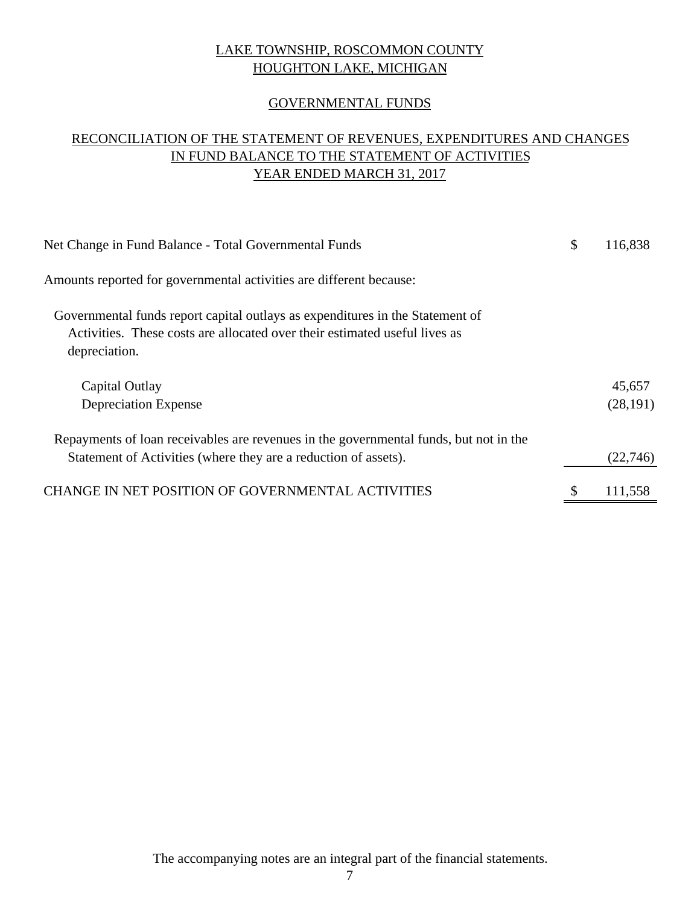# GOVERNMENTAL FUNDS

# RECONCILIATION OF THE STATEMENT OF REVENUES, EXPENDITURES AND CHANGES YEAR ENDED MARCH 31, 2017 IN FUND BALANCE TO THE STATEMENT OF ACTIVITIES

| Net Change in Fund Balance - Total Governmental Funds                                                                                                                        | \$<br>116,838 |
|------------------------------------------------------------------------------------------------------------------------------------------------------------------------------|---------------|
| Amounts reported for governmental activities are different because:                                                                                                          |               |
| Governmental funds report capital outlays as expenditures in the Statement of<br>Activities. These costs are allocated over their estimated useful lives as<br>depreciation. |               |
| Capital Outlay                                                                                                                                                               | 45,657        |
| <b>Depreciation Expense</b>                                                                                                                                                  | (28, 191)     |
| Repayments of loan receivables are revenues in the governmental funds, but not in the<br>Statement of Activities (where they are a reduction of assets).                     | (22,746)      |
| CHANGE IN NET POSITION OF GOVERNMENTAL ACTIVITIES                                                                                                                            | 111,558       |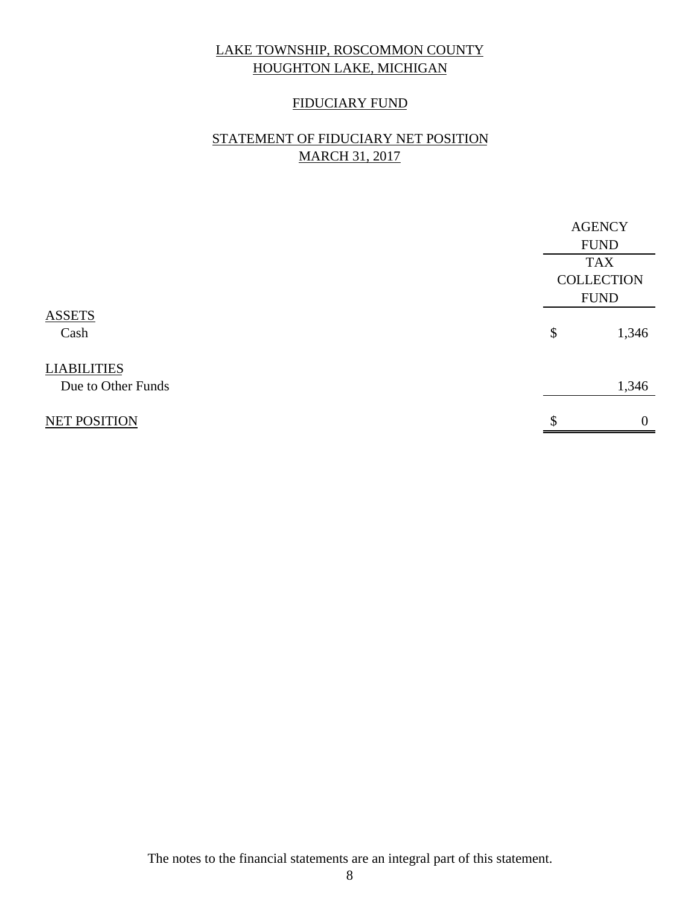# FIDUCIARY FUND

# MARCH 31, 2017 STATEMENT OF FIDUCIARY NET POSITION

|                     | <b>AGENCY</b> |                   |
|---------------------|---------------|-------------------|
|                     |               | <b>FUND</b>       |
|                     |               | <b>TAX</b>        |
|                     |               | <b>COLLECTION</b> |
|                     |               | <b>FUND</b>       |
| <b>ASSETS</b>       |               |                   |
| Cash                | \$            | 1,346             |
| <b>LIABILITIES</b>  |               |                   |
| Due to Other Funds  |               | 1,346             |
| <b>NET POSITION</b> | \$            | $\theta$          |

The notes to the financial statements are an integral part of this statement.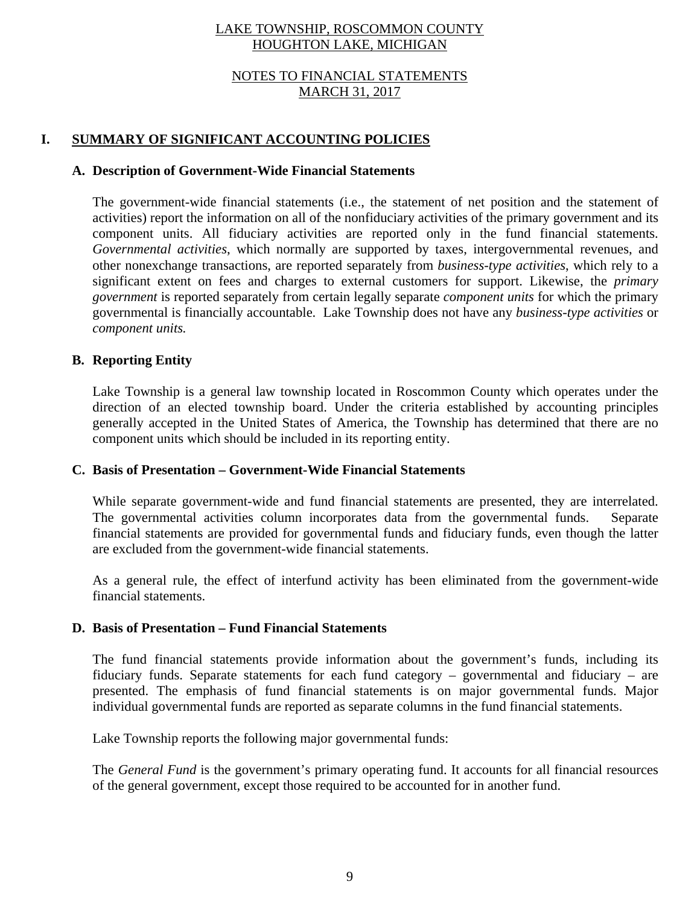## NOTES TO FINANCIAL STATEMENTS MARCH 31, 2017

# **I. SUMMARY OF SIGNIFICANT ACCOUNTING POLICIES**

#### **A. Description of Government-Wide Financial Statements**

The government-wide financial statements (i.e., the statement of net position and the statement of activities) report the information on all of the nonfiduciary activities of the primary government and its component units. All fiduciary activities are reported only in the fund financial statements. *Governmental activities*, which normally are supported by taxes, intergovernmental revenues, and other nonexchange transactions, are reported separately from *business-type activities*, which rely to a significant extent on fees and charges to external customers for support. Likewise, the *primary government* is reported separately from certain legally separate *component units* for which the primary governmental is financially accountable. Lake Township does not have any *business-type activities* or *component units.*

#### **B. Reporting Entity**

Lake Township is a general law township located in Roscommon County which operates under the direction of an elected township board. Under the criteria established by accounting principles generally accepted in the United States of America, the Township has determined that there are no component units which should be included in its reporting entity.

#### **C. Basis of Presentation – Government-Wide Financial Statements**

While separate government-wide and fund financial statements are presented, they are interrelated. The governmental activities column incorporates data from the governmental funds. Separate financial statements are provided for governmental funds and fiduciary funds, even though the latter are excluded from the government-wide financial statements.

As a general rule, the effect of interfund activity has been eliminated from the government-wide financial statements.

#### **D. Basis of Presentation – Fund Financial Statements**

The fund financial statements provide information about the government's funds, including its fiduciary funds. Separate statements for each fund category – governmental and fiduciary – are presented. The emphasis of fund financial statements is on major governmental funds. Major individual governmental funds are reported as separate columns in the fund financial statements.

Lake Township reports the following major governmental funds:

The *General Fund* is the government's primary operating fund. It accounts for all financial resources of the general government, except those required to be accounted for in another fund.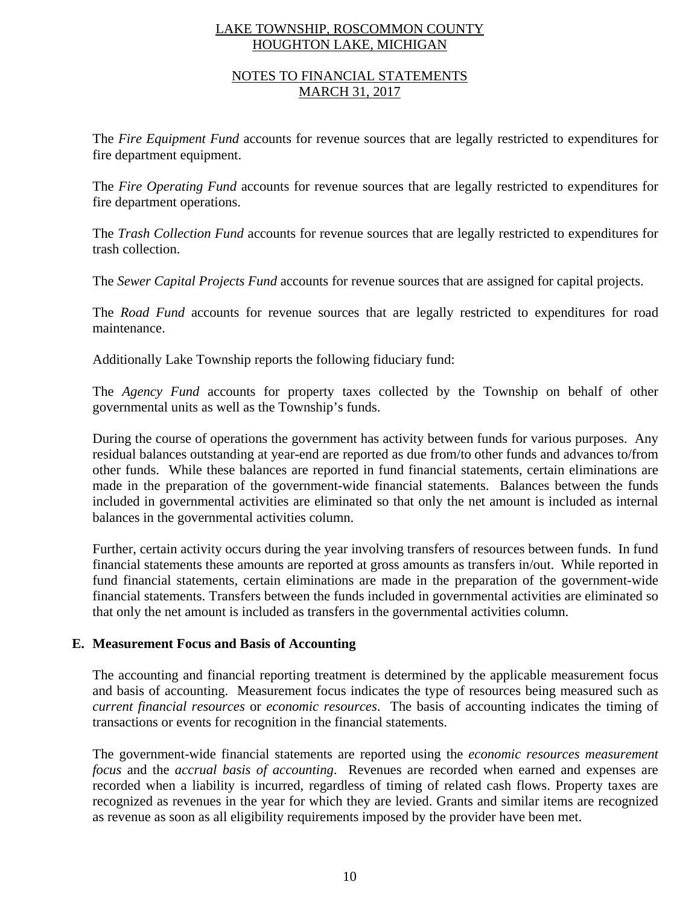### NOTES TO FINANCIAL STATEMENTS MARCH 31, 2017

The *Fire Equipment Fund* accounts for revenue sources that are legally restricted to expenditures for fire department equipment.

The *Fire Operating Fund* accounts for revenue sources that are legally restricted to expenditures for fire department operations.

The *Trash Collection Fund* accounts for revenue sources that are legally restricted to expenditures for trash collection.

The *Sewer Capital Projects Fund* accounts for revenue sources that are assigned for capital projects.

The *Road Fund* accounts for revenue sources that are legally restricted to expenditures for road maintenance.

Additionally Lake Township reports the following fiduciary fund:

The *Agency Fund* accounts for property taxes collected by the Township on behalf of other governmental units as well as the Township's funds.

During the course of operations the government has activity between funds for various purposes. Any residual balances outstanding at year-end are reported as due from/to other funds and advances to/from other funds. While these balances are reported in fund financial statements, certain eliminations are made in the preparation of the government-wide financial statements. Balances between the funds included in governmental activities are eliminated so that only the net amount is included as internal balances in the governmental activities column.

Further, certain activity occurs during the year involving transfers of resources between funds. In fund financial statements these amounts are reported at gross amounts as transfers in/out. While reported in fund financial statements, certain eliminations are made in the preparation of the government-wide financial statements. Transfers between the funds included in governmental activities are eliminated so that only the net amount is included as transfers in the governmental activities column.

#### **E. Measurement Focus and Basis of Accounting**

The accounting and financial reporting treatment is determined by the applicable measurement focus and basis of accounting. Measurement focus indicates the type of resources being measured such as *current financial resources* or *economic resources*. The basis of accounting indicates the timing of transactions or events for recognition in the financial statements.

The government-wide financial statements are reported using the *economic resources measurement focus* and the *accrual basis of accounting*. Revenues are recorded when earned and expenses are recorded when a liability is incurred, regardless of timing of related cash flows. Property taxes are recognized as revenues in the year for which they are levied. Grants and similar items are recognized as revenue as soon as all eligibility requirements imposed by the provider have been met.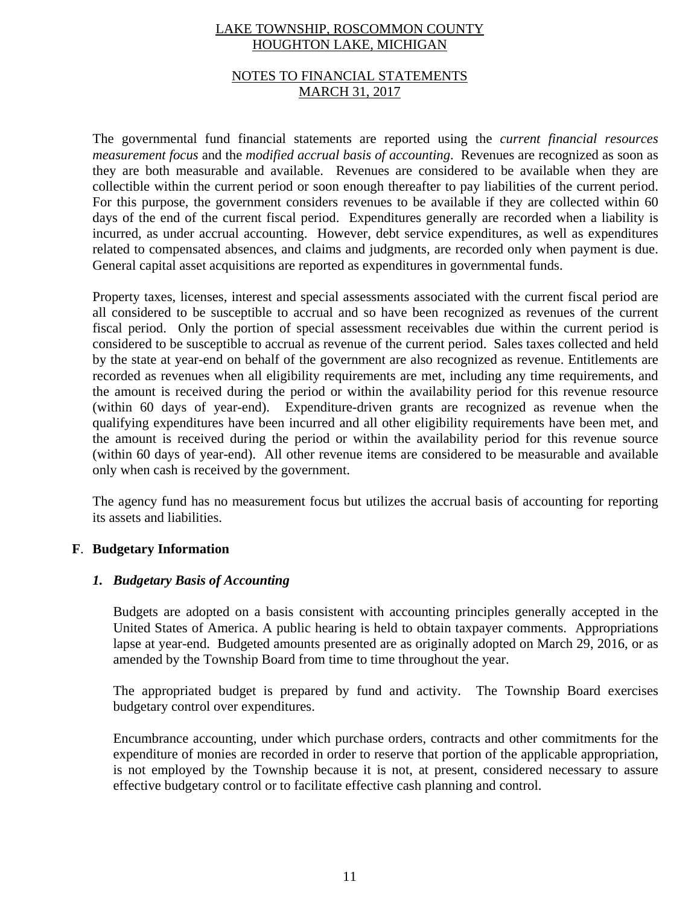# LAKE TOWNSHIP, ROSCOMMON COUNTY HOUGHTON LAKE, MICHIGAN NOTES TO FINANCIAL STATEMENTS MARCH 31, 2017

The governmental fund financial statements are reported using the *current financial resources measurement focus* and the *modified accrual basis of accounting*. Revenues are recognized as soon as they are both measurable and available. Revenues are considered to be available when they are collectible within the current period or soon enough thereafter to pay liabilities of the current period. For this purpose, the government considers revenues to be available if they are collected within 60 days of the end of the current fiscal period. Expenditures generally are recorded when a liability is incurred, as under accrual accounting. However, debt service expenditures, as well as expenditures related to compensated absences, and claims and judgments, are recorded only when payment is due. General capital asset acquisitions are reported as expenditures in governmental funds.

Property taxes, licenses, interest and special assessments associated with the current fiscal period are all considered to be susceptible to accrual and so have been recognized as revenues of the current fiscal period. Only the portion of special assessment receivables due within the current period is considered to be susceptible to accrual as revenue of the current period. Sales taxes collected and held by the state at year-end on behalf of the government are also recognized as revenue. Entitlements are recorded as revenues when all eligibility requirements are met, including any time requirements, and the amount is received during the period or within the availability period for this revenue resource (within 60 days of year-end). Expenditure-driven grants are recognized as revenue when the qualifying expenditures have been incurred and all other eligibility requirements have been met, and the amount is received during the period or within the availability period for this revenue source (within 60 days of year-end). All other revenue items are considered to be measurable and available only when cash is received by the government.

The agency fund has no measurement focus but utilizes the accrual basis of accounting for reporting its assets and liabilities.

#### **F**. **Budgetary Information**

#### *1. Budgetary Basis of Accounting*

Budgets are adopted on a basis consistent with accounting principles generally accepted in the United States of America. A public hearing is held to obtain taxpayer comments. Appropriations lapse at year-end. Budgeted amounts presented are as originally adopted on March 29, 2016, or as amended by the Township Board from time to time throughout the year.

The appropriated budget is prepared by fund and activity. The Township Board exercises budgetary control over expenditures.

Encumbrance accounting, under which purchase orders, contracts and other commitments for the expenditure of monies are recorded in order to reserve that portion of the applicable appropriation, is not employed by the Township because it is not, at present, considered necessary to assure effective budgetary control or to facilitate effective cash planning and control.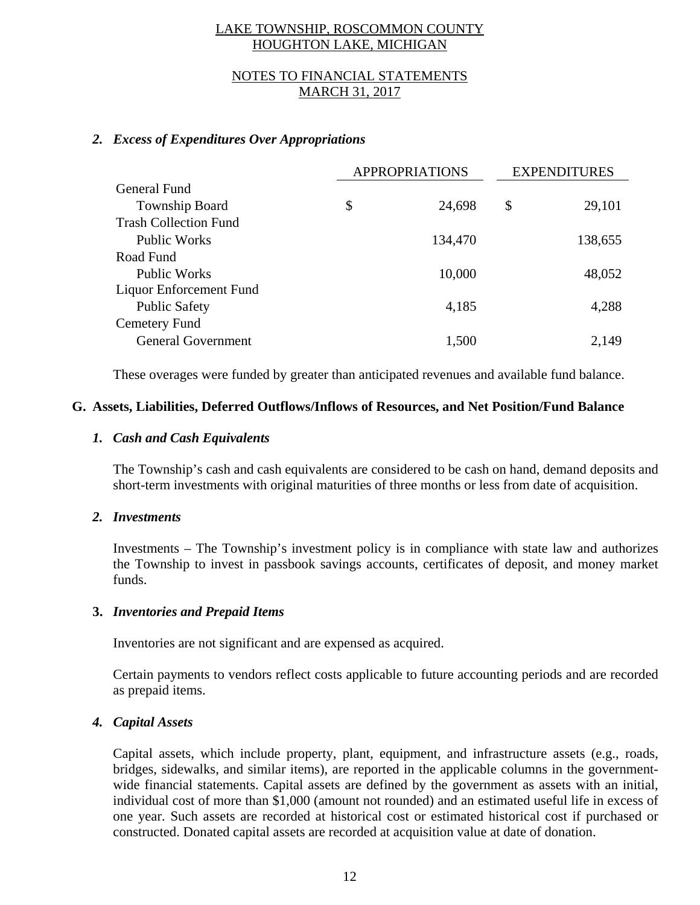### NOTES TO FINANCIAL STATEMENTS MARCH 31, 2017

### *2. Excess of Expenditures Over Appropriations*

|                              | <b>APPROPRIATIONS</b> | <b>EXPENDITURES</b> |         |  |  |
|------------------------------|-----------------------|---------------------|---------|--|--|
| General Fund                 |                       |                     |         |  |  |
| <b>Township Board</b>        | \$<br>24,698          | \$                  | 29,101  |  |  |
| <b>Trash Collection Fund</b> |                       |                     |         |  |  |
| <b>Public Works</b>          | 134,470               |                     | 138,655 |  |  |
| Road Fund                    |                       |                     |         |  |  |
| Public Works                 | 10,000                |                     | 48,052  |  |  |
| Liquor Enforcement Fund      |                       |                     |         |  |  |
| <b>Public Safety</b>         | 4,185                 |                     | 4,288   |  |  |
| Cemetery Fund                |                       |                     |         |  |  |
| <b>General Government</b>    | 1,500                 |                     | 2,149   |  |  |
|                              |                       |                     |         |  |  |

These overages were funded by greater than anticipated revenues and available fund balance.

#### **G. Assets, Liabilities, Deferred Outflows/Inflows of Resources, and Net Position/Fund Balance**

### *1. Cash and Cash Equivalents*

The Township's cash and cash equivalents are considered to be cash on hand, demand deposits and short-term investments with original maturities of three months or less from date of acquisition.

#### *2. Investments*

Investments – The Township's investment policy is in compliance with state law and authorizes the Township to invest in passbook savings accounts, certificates of deposit, and money market funds.

#### **3.** *Inventories and Prepaid Items*

Inventories are not significant and are expensed as acquired.

Certain payments to vendors reflect costs applicable to future accounting periods and are recorded as prepaid items.

# *4. Capital Assets*

Capital assets, which include property, plant, equipment, and infrastructure assets (e.g., roads, bridges, sidewalks, and similar items), are reported in the applicable columns in the governmentwide financial statements. Capital assets are defined by the government as assets with an initial, individual cost of more than \$1,000 (amount not rounded) and an estimated useful life in excess of one year. Such assets are recorded at historical cost or estimated historical cost if purchased or constructed. Donated capital assets are recorded at acquisition value at date of donation.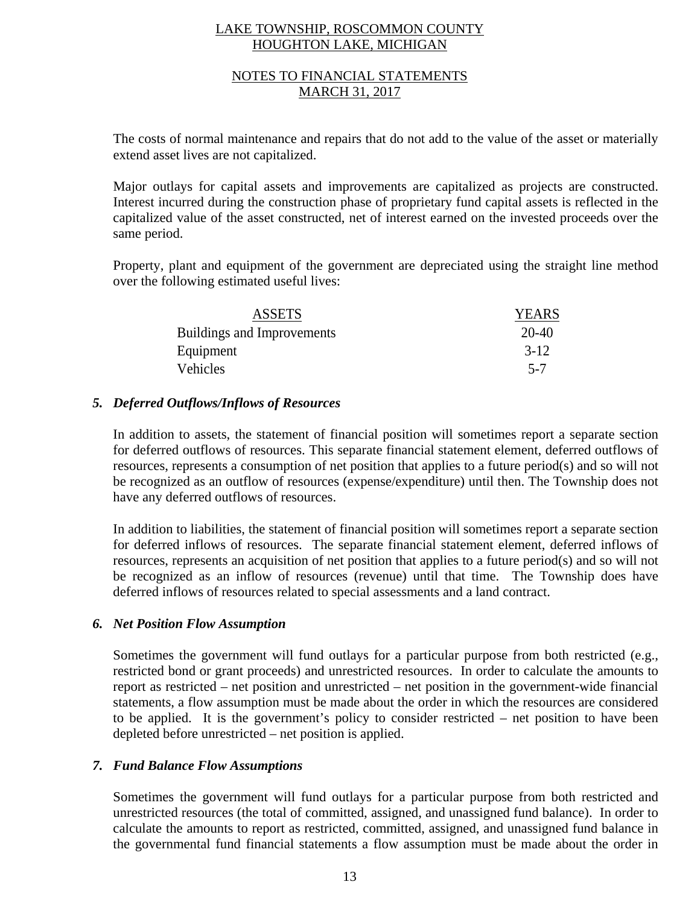# NOTES TO FINANCIAL STATEMENTS MARCH 31, 2017

The costs of normal maintenance and repairs that do not add to the value of the asset or materially extend asset lives are not capitalized.

Major outlays for capital assets and improvements are capitalized as projects are constructed. Interest incurred during the construction phase of proprietary fund capital assets is reflected in the capitalized value of the asset constructed, net of interest earned on the invested proceeds over the same period.

Property, plant and equipment of the government are depreciated using the straight line method over the following estimated useful lives:

| <b>ASSETS</b>              | <b>YEARS</b> |
|----------------------------|--------------|
| Buildings and Improvements | 20-40        |
| Equipment                  | $3-12$       |
| Vehicles                   | $5 - 7$      |

### *5. Deferred Outflows/Inflows of Resources*

In addition to assets, the statement of financial position will sometimes report a separate section for deferred outflows of resources. This separate financial statement element, deferred outflows of resources, represents a consumption of net position that applies to a future period(s) and so will not be recognized as an outflow of resources (expense/expenditure) until then. The Township does not have any deferred outflows of resources.

In addition to liabilities, the statement of financial position will sometimes report a separate section for deferred inflows of resources. The separate financial statement element, deferred inflows of resources, represents an acquisition of net position that applies to a future period(s) and so will not be recognized as an inflow of resources (revenue) until that time. The Township does have deferred inflows of resources related to special assessments and a land contract.

#### *6. Net Position Flow Assumption*

Sometimes the government will fund outlays for a particular purpose from both restricted (e.g., restricted bond or grant proceeds) and unrestricted resources. In order to calculate the amounts to report as restricted – net position and unrestricted – net position in the government-wide financial statements, a flow assumption must be made about the order in which the resources are considered to be applied. It is the government's policy to consider restricted – net position to have been depleted before unrestricted – net position is applied.

#### *7. Fund Balance Flow Assumptions*

Sometimes the government will fund outlays for a particular purpose from both restricted and unrestricted resources (the total of committed, assigned, and unassigned fund balance). In order to calculate the amounts to report as restricted, committed, assigned, and unassigned fund balance in the governmental fund financial statements a flow assumption must be made about the order in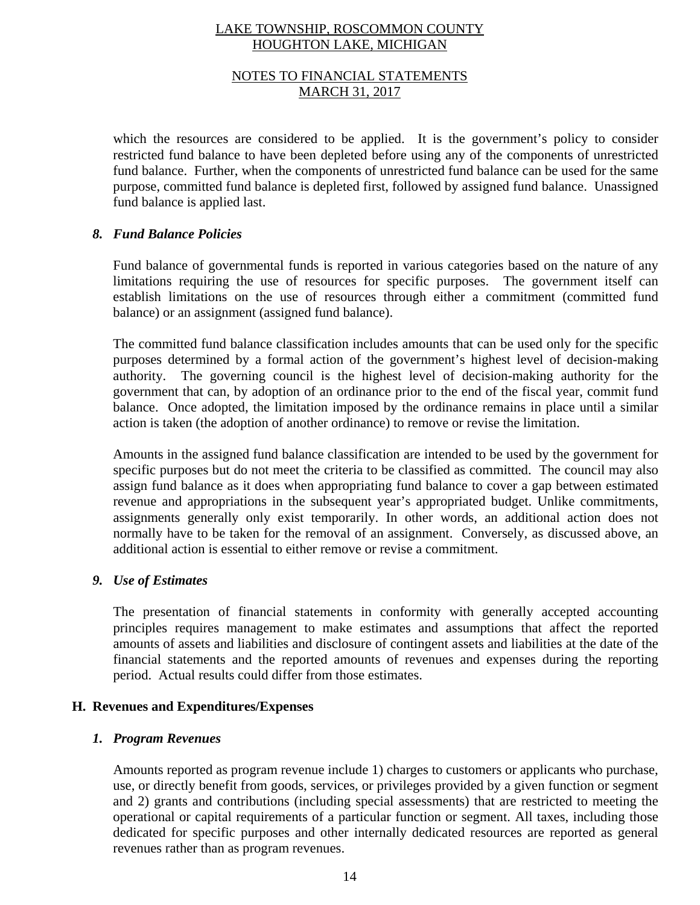# NOTES TO FINANCIAL STATEMENTS MARCH 31, 2017

which the resources are considered to be applied. It is the government's policy to consider restricted fund balance to have been depleted before using any of the components of unrestricted fund balance. Further, when the components of unrestricted fund balance can be used for the same purpose, committed fund balance is depleted first, followed by assigned fund balance. Unassigned fund balance is applied last.

#### *8. Fund Balance Policies*

Fund balance of governmental funds is reported in various categories based on the nature of any limitations requiring the use of resources for specific purposes. The government itself can establish limitations on the use of resources through either a commitment (committed fund balance) or an assignment (assigned fund balance).

The committed fund balance classification includes amounts that can be used only for the specific purposes determined by a formal action of the government's highest level of decision-making authority. The governing council is the highest level of decision-making authority for the government that can, by adoption of an ordinance prior to the end of the fiscal year, commit fund balance. Once adopted, the limitation imposed by the ordinance remains in place until a similar action is taken (the adoption of another ordinance) to remove or revise the limitation.

Amounts in the assigned fund balance classification are intended to be used by the government for specific purposes but do not meet the criteria to be classified as committed. The council may also assign fund balance as it does when appropriating fund balance to cover a gap between estimated revenue and appropriations in the subsequent year's appropriated budget. Unlike commitments, assignments generally only exist temporarily. In other words, an additional action does not normally have to be taken for the removal of an assignment. Conversely, as discussed above, an additional action is essential to either remove or revise a commitment.

# *9. Use of Estimates*

The presentation of financial statements in conformity with generally accepted accounting principles requires management to make estimates and assumptions that affect the reported amounts of assets and liabilities and disclosure of contingent assets and liabilities at the date of the financial statements and the reported amounts of revenues and expenses during the reporting period. Actual results could differ from those estimates.

#### **H. Revenues and Expenditures/Expenses**

#### *1. Program Revenues*

Amounts reported as program revenue include 1) charges to customers or applicants who purchase, use, or directly benefit from goods, services, or privileges provided by a given function or segment and 2) grants and contributions (including special assessments) that are restricted to meeting the operational or capital requirements of a particular function or segment. All taxes, including those dedicated for specific purposes and other internally dedicated resources are reported as general revenues rather than as program revenues.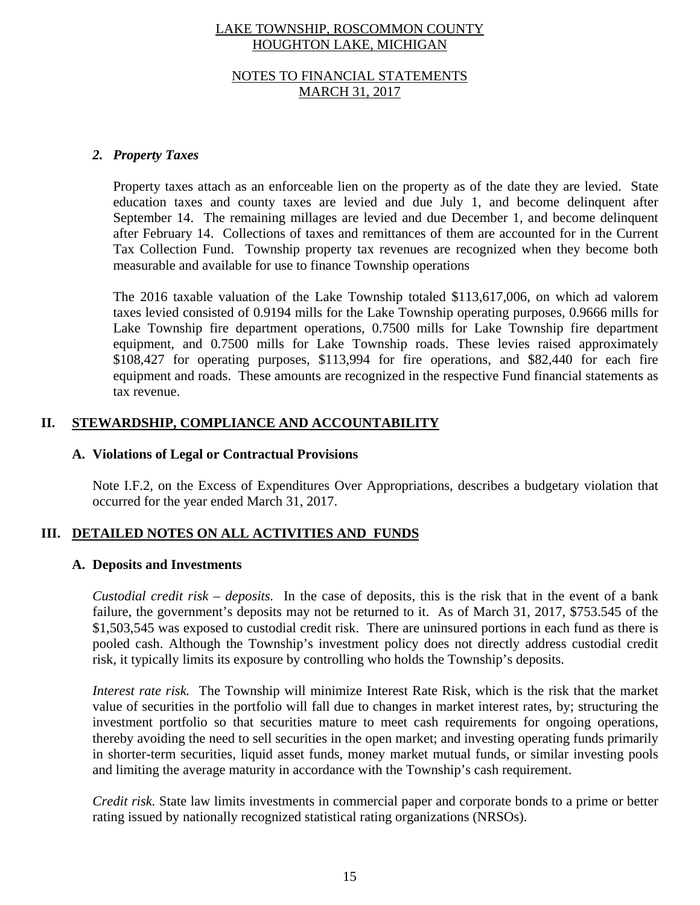## NOTES TO FINANCIAL STATEMENTS MARCH 31, 2017

### *2. Property Taxes*

Property taxes attach as an enforceable lien on the property as of the date they are levied. State education taxes and county taxes are levied and due July 1, and become delinquent after September 14. The remaining millages are levied and due December 1, and become delinquent after February 14. Collections of taxes and remittances of them are accounted for in the Current Tax Collection Fund. Township property tax revenues are recognized when they become both measurable and available for use to finance Township operations

The 2016 taxable valuation of the Lake Township totaled \$113,617,006, on which ad valorem taxes levied consisted of 0.9194 mills for the Lake Township operating purposes, 0.9666 mills for Lake Township fire department operations, 0.7500 mills for Lake Township fire department equipment, and 0.7500 mills for Lake Township roads. These levies raised approximately \$108,427 for operating purposes, \$113,994 for fire operations, and \$82,440 for each fire equipment and roads. These amounts are recognized in the respective Fund financial statements as tax revenue.

# **II. STEWARDSHIP, COMPLIANCE AND ACCOUNTABILITY**

#### **A. Violations of Legal or Contractual Provisions**

Note I.F.2, on the Excess of Expenditures Over Appropriations, describes a budgetary violation that occurred for the year ended March 31, 2017.

# **III. DETAILED NOTES ON ALL ACTIVITIES AND FUNDS**

#### **A. Deposits and Investments**

*Custodial credit risk – deposits.* In the case of deposits, this is the risk that in the event of a bank failure, the government's deposits may not be returned to it. As of March 31, 2017, \$753.545 of the \$1,503,545 was exposed to custodial credit risk. There are uninsured portions in each fund as there is pooled cash. Although the Township's investment policy does not directly address custodial credit risk, it typically limits its exposure by controlling who holds the Township's deposits.

*Interest rate risk.* The Township will minimize Interest Rate Risk, which is the risk that the market value of securities in the portfolio will fall due to changes in market interest rates, by; structuring the investment portfolio so that securities mature to meet cash requirements for ongoing operations, thereby avoiding the need to sell securities in the open market; and investing operating funds primarily in shorter-term securities, liquid asset funds, money market mutual funds, or similar investing pools and limiting the average maturity in accordance with the Township's cash requirement.

*Credit risk.* State law limits investments in commercial paper and corporate bonds to a prime or better rating issued by nationally recognized statistical rating organizations (NRSOs).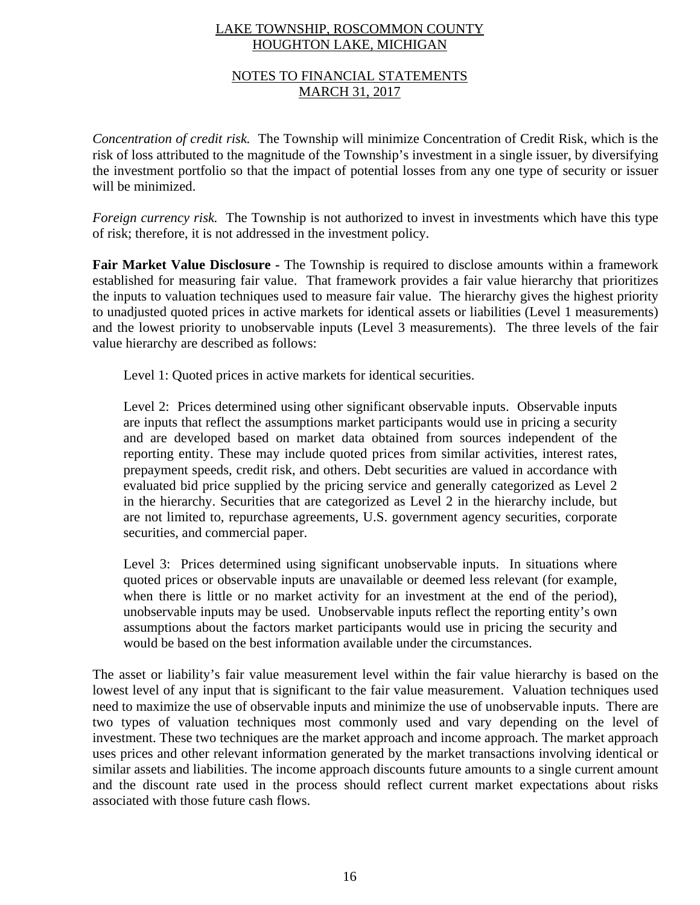# NOTES TO FINANCIAL STATEMENTS MARCH 31, 2017

*Concentration of credit risk.* The Township will minimize Concentration of Credit Risk, which is the risk of loss attributed to the magnitude of the Township's investment in a single issuer, by diversifying the investment portfolio so that the impact of potential losses from any one type of security or issuer will be minimized.

*Foreign currency risk.* The Township is not authorized to invest in investments which have this type of risk; therefore, it is not addressed in the investment policy.

**Fair Market Value Disclosure -** The Township is required to disclose amounts within a framework established for measuring fair value. That framework provides a fair value hierarchy that prioritizes the inputs to valuation techniques used to measure fair value. The hierarchy gives the highest priority to unadjusted quoted prices in active markets for identical assets or liabilities (Level 1 measurements) and the lowest priority to unobservable inputs (Level 3 measurements). The three levels of the fair value hierarchy are described as follows:

Level 1: Quoted prices in active markets for identical securities.

Level 2: Prices determined using other significant observable inputs. Observable inputs are inputs that reflect the assumptions market participants would use in pricing a security and are developed based on market data obtained from sources independent of the reporting entity. These may include quoted prices from similar activities, interest rates, prepayment speeds, credit risk, and others. Debt securities are valued in accordance with evaluated bid price supplied by the pricing service and generally categorized as Level 2 in the hierarchy. Securities that are categorized as Level 2 in the hierarchy include, but are not limited to, repurchase agreements, U.S. government agency securities, corporate securities, and commercial paper.

Level 3: Prices determined using significant unobservable inputs. In situations where quoted prices or observable inputs are unavailable or deemed less relevant (for example, when there is little or no market activity for an investment at the end of the period), unobservable inputs may be used. Unobservable inputs reflect the reporting entity's own assumptions about the factors market participants would use in pricing the security and would be based on the best information available under the circumstances.

The asset or liability's fair value measurement level within the fair value hierarchy is based on the lowest level of any input that is significant to the fair value measurement. Valuation techniques used need to maximize the use of observable inputs and minimize the use of unobservable inputs. There are two types of valuation techniques most commonly used and vary depending on the level of investment. These two techniques are the market approach and income approach. The market approach uses prices and other relevant information generated by the market transactions involving identical or similar assets and liabilities. The income approach discounts future amounts to a single current amount and the discount rate used in the process should reflect current market expectations about risks associated with those future cash flows.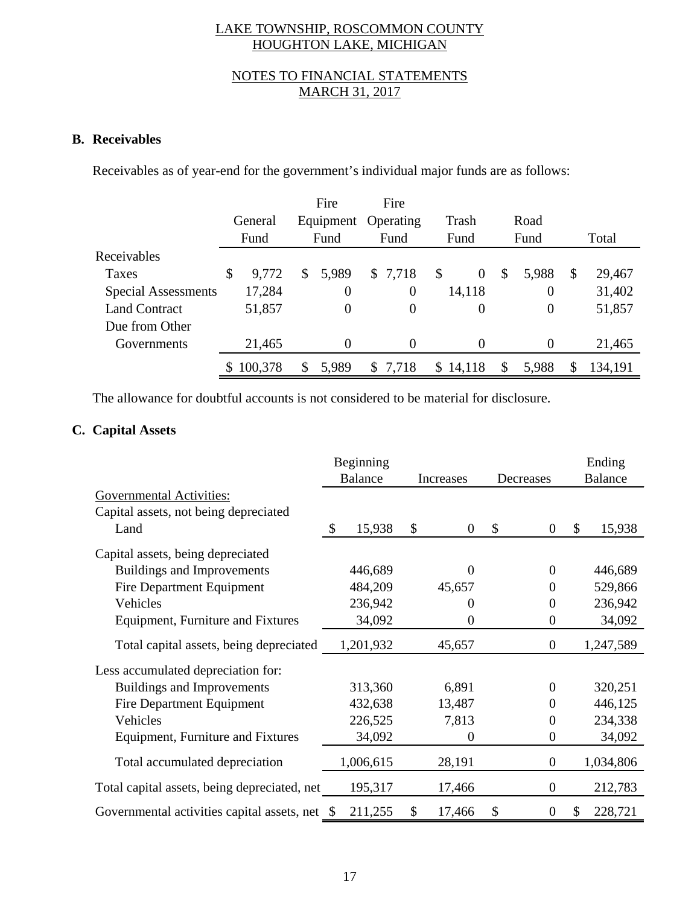# NOTES TO FINANCIAL STATEMENTS MARCH 31, 2017

# **B. Receivables**

Receivables as of year-end for the government's individual major funds are as follows:

|                            |               |                     | Fire             |      | Fire             |       |                |      |                |              |
|----------------------------|---------------|---------------------|------------------|------|------------------|-------|----------------|------|----------------|--------------|
|                            | General       | Equipment Operating |                  |      |                  | Trash |                |      | Road           |              |
|                            | Fund          |                     | Fund             | Fund |                  | Fund  |                | Fund |                | Total        |
| Receivables                |               |                     |                  |      |                  |       |                |      |                |              |
| Taxes                      | \$<br>9,772   | $\mathbb{S}^-$      | 5,989            |      | \$7,718          | \$    | $\overline{0}$ | \$   | 5,988          | \$<br>29,467 |
| <b>Special Assessments</b> | 17,284        |                     | $\boldsymbol{0}$ |      | $\boldsymbol{0}$ |       | 14,118         |      | 0              | 31,402       |
| <b>Land Contract</b>       | 51,857        |                     | $\theta$         |      | $\boldsymbol{0}$ |       | 0              |      | 0              | 51,857       |
| Due from Other             |               |                     |                  |      |                  |       |                |      |                |              |
| Governments                | 21,465        |                     | $\Omega$         |      | $\overline{0}$   |       | $\overline{0}$ |      | $\overline{0}$ | 21,465       |
|                            | \$<br>100,378 | \$                  | 5,989            | \$   | 7,718            | \$    | 14,118         | \$   | 5,988          | 134,191      |

The allowance for doubtful accounts is not considered to be material for disclosure.

# **C. Capital Assets**

|                                              | Beginning      |                |               |                  |    | Ending         |
|----------------------------------------------|----------------|----------------|---------------|------------------|----|----------------|
|                                              | <b>Balance</b> | Increases      |               | Decreases        |    | <b>Balance</b> |
| <b>Governmental Activities:</b>              |                |                |               |                  |    |                |
| Capital assets, not being depreciated        |                |                |               |                  |    |                |
| Land                                         | \$<br>15,938   | \$<br>$\Omega$ | $\mathcal{S}$ | $\overline{0}$   | \$ | 15,938         |
| Capital assets, being depreciated            |                |                |               |                  |    |                |
| <b>Buildings and Improvements</b>            | 446,689        | 0              |               | $\Omega$         |    | 446,689        |
| <b>Fire Department Equipment</b>             | 484,209        | 45,657         |               | $\theta$         |    | 529,866        |
| Vehicles                                     | 236,942        | $\theta$       |               | $\theta$         |    | 236,942        |
| Equipment, Furniture and Fixtures            | 34,092         | $\theta$       |               | $\boldsymbol{0}$ |    | 34,092         |
| Total capital assets, being depreciated      | 1,201,932      | 45,657         |               | $\boldsymbol{0}$ |    | 1,247,589      |
| Less accumulated depreciation for:           |                |                |               |                  |    |                |
| <b>Buildings and Improvements</b>            | 313,360        | 6,891          |               | $\theta$         |    | 320,251        |
| <b>Fire Department Equipment</b>             | 432,638        | 13,487         |               | $\Omega$         |    | 446,125        |
| Vehicles                                     | 226,525        | 7,813          |               | $\theta$         |    | 234,338        |
| Equipment, Furniture and Fixtures            | 34,092         | $\theta$       |               | $\boldsymbol{0}$ |    | 34,092         |
| Total accumulated depreciation               | 1,006,615      | 28,191         |               | $\boldsymbol{0}$ |    | 1,034,806      |
| Total capital assets, being depreciated, net | 195,317        | 17,466         |               | $\theta$         |    | 212,783        |
| Governmental activities capital assets, net  | \$<br>211,255  | \$<br>17,466   | \$            | $\boldsymbol{0}$ | S  | 228,721        |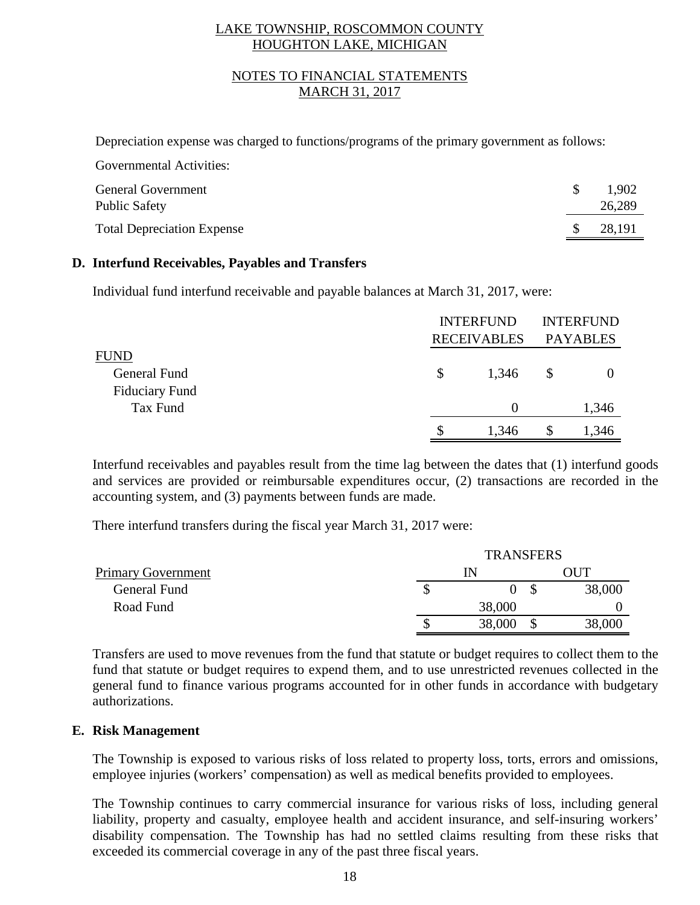### NOTES TO FINANCIAL STATEMENTS MARCH 31, 2017

Depreciation expense was charged to functions/programs of the primary government as follows:

Governmental Activities:

| <b>General Government</b>         |              | 1,902  |
|-----------------------------------|--------------|--------|
| <b>Public Safety</b>              |              | 26,289 |
| <b>Total Depreciation Expense</b> | <sup>S</sup> | 28,191 |

# **D. Interfund Receivables, Payables and Transfers**

Individual fund interfund receivable and payable balances at March 31, 2017, were:

|                       | <b>INTERFUND</b>   |                 | <b>INTERFUND</b> |  |  |
|-----------------------|--------------------|-----------------|------------------|--|--|
|                       | <b>RECEIVABLES</b> | <b>PAYABLES</b> |                  |  |  |
| <b>FUND</b>           |                    |                 |                  |  |  |
| General Fund          | \$<br>1,346        |                 |                  |  |  |
| <b>Fiduciary Fund</b> |                    |                 |                  |  |  |
| Tax Fund              |                    |                 | 1,346            |  |  |
|                       | \$<br>1,346        |                 | 1,346            |  |  |

Interfund receivables and payables result from the time lag between the dates that (1) interfund goods and services are provided or reimbursable expenditures occur, (2) transactions are recorded in the accounting system, and (3) payments between funds are made.

There interfund transfers during the fiscal year March 31, 2017 were:

|                           |    | <b>TRANSFERS</b> |  |        |  |  |  |  |  |  |  |
|---------------------------|----|------------------|--|--------|--|--|--|--|--|--|--|
| <b>Primary Government</b> |    | IN               |  | W IT   |  |  |  |  |  |  |  |
| General Fund              | J) |                  |  | 38,000 |  |  |  |  |  |  |  |
| Road Fund                 |    | 38,000           |  |        |  |  |  |  |  |  |  |
|                           | J) | 38,000           |  | 38,000 |  |  |  |  |  |  |  |

Transfers are used to move revenues from the fund that statute or budget requires to collect them to the fund that statute or budget requires to expend them, and to use unrestricted revenues collected in the general fund to finance various programs accounted for in other funds in accordance with budgetary authorizations.

#### **E. Risk Management**

The Township is exposed to various risks of loss related to property loss, torts, errors and omissions, employee injuries (workers' compensation) as well as medical benefits provided to employees.

The Township continues to carry commercial insurance for various risks of loss, including general liability, property and casualty, employee health and accident insurance, and self-insuring workers' disability compensation. The Township has had no settled claims resulting from these risks that exceeded its commercial coverage in any of the past three fiscal years.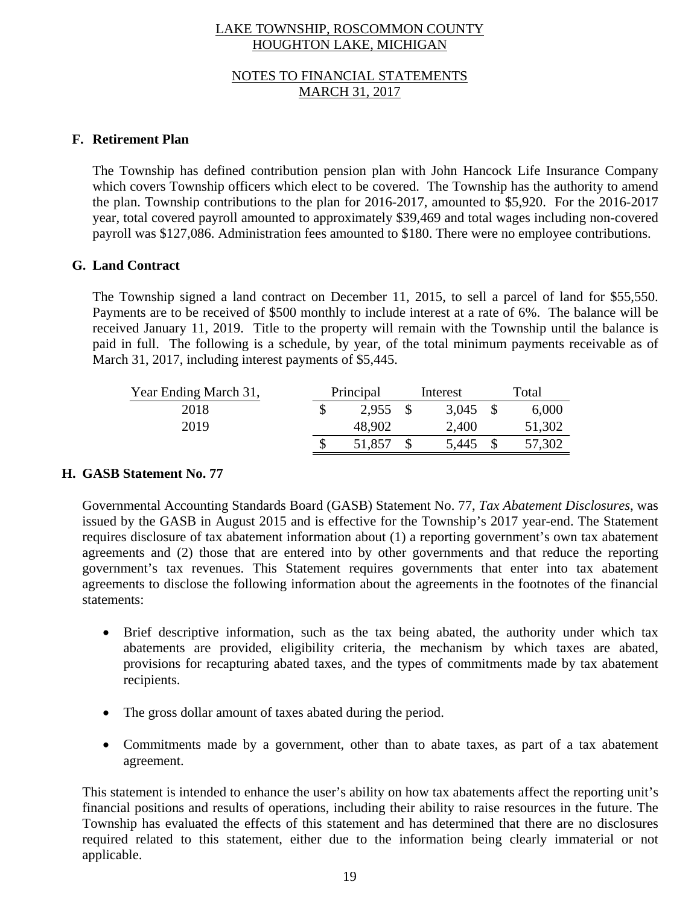# NOTES TO FINANCIAL STATEMENTS MARCH 31, 2017

### **F. Retirement Plan**

The Township has defined contribution pension plan with John Hancock Life Insurance Company which covers Township officers which elect to be covered. The Township has the authority to amend the plan. Township contributions to the plan for 2016-2017, amounted to \$5,920. For the 2016-2017 year, total covered payroll amounted to approximately \$39,469 and total wages including non-covered payroll was \$127,086. Administration fees amounted to \$180. There were no employee contributions.

### **G. Land Contract**

The Township signed a land contract on December 11, 2015, to sell a parcel of land for \$55,550. Payments are to be received of \$500 monthly to include interest at a rate of 6%. The balance will be received January 11, 2019. Title to the property will remain with the Township until the balance is paid in full. The following is a schedule, by year, of the total minimum payments receivable as of March 31, 2017, including interest payments of \$5,445.

| Year Ending March 31, | Principal | Interest | Total  |  |  |  |
|-----------------------|-----------|----------|--------|--|--|--|
| 2018                  | 2,955     | 3,045    | 6,000  |  |  |  |
| 2019                  | 48,902    | 2,400    | 51,302 |  |  |  |
|                       | 51,857    | 5,445    | 57,302 |  |  |  |

# **H. GASB Statement No. 77**

Governmental Accounting Standards Board (GASB) Statement No. 77, *Tax Abatement Disclosures*, was issued by the GASB in August 2015 and is effective for the Township's 2017 year-end. The Statement requires disclosure of tax abatement information about (1) a reporting government's own tax abatement agreements and (2) those that are entered into by other governments and that reduce the reporting government's tax revenues. This Statement requires governments that enter into tax abatement agreements to disclose the following information about the agreements in the footnotes of the financial statements:

- Brief descriptive information, such as the tax being abated, the authority under which tax abatements are provided, eligibility criteria, the mechanism by which taxes are abated, provisions for recapturing abated taxes, and the types of commitments made by tax abatement recipients.
- The gross dollar amount of taxes abated during the period.
- Commitments made by a government, other than to abate taxes, as part of a tax abatement agreement.

This statement is intended to enhance the user's ability on how tax abatements affect the reporting unit's financial positions and results of operations, including their ability to raise resources in the future. The Township has evaluated the effects of this statement and has determined that there are no disclosures required related to this statement, either due to the information being clearly immaterial or not applicable.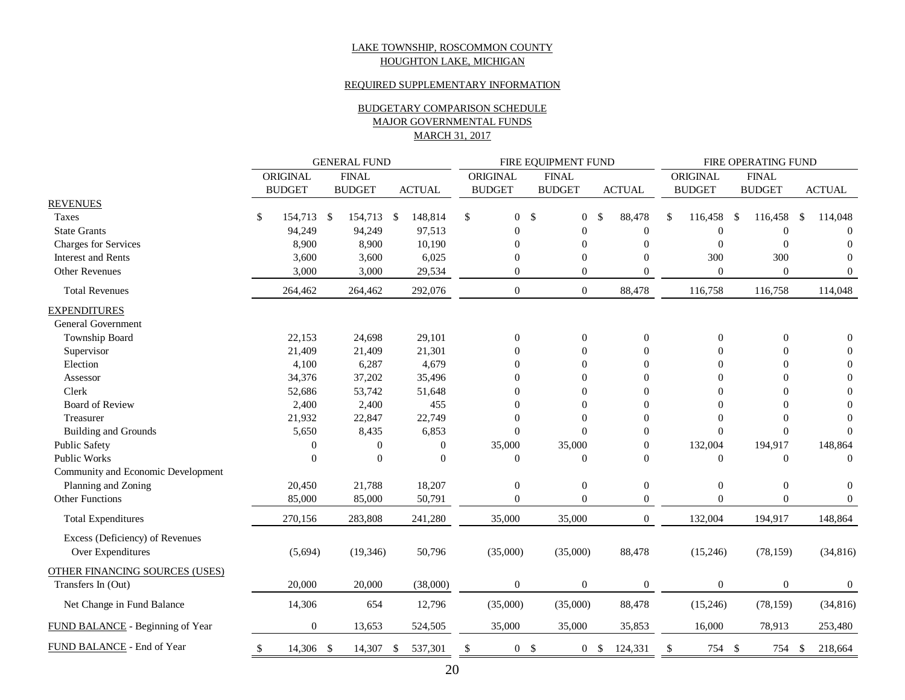#### REQUIRED SUPPLEMENTARY INFORMATION

#### BUDGETARY COMPARISON SCHEDULE MAJOR GOVERNMENTAL FUNDS MARCH 31, 2017

|                                                      |                  | <b>GENERAL FUND</b> |               |                      | FIRE EQUIPMENT FUND                   |                  |               |                  | FIRE OPERATING FUND |                  |               |                  |  |
|------------------------------------------------------|------------------|---------------------|---------------|----------------------|---------------------------------------|------------------|---------------|------------------|---------------------|------------------|---------------|------------------|--|
|                                                      | ORIGINAL         | <b>FINAL</b>        |               | ORIGINAL             | <b>FINAL</b>                          |                  |               | ORIGINAL         |                     | <b>FINAL</b>     |               |                  |  |
|                                                      | <b>BUDGET</b>    | <b>BUDGET</b>       | <b>ACTUAL</b> | <b>BUDGET</b>        | <b>BUDGET</b>                         | <b>ACTUAL</b>    | <b>BUDGET</b> |                  | <b>BUDGET</b>       |                  | <b>ACTUAL</b> |                  |  |
| <b>REVENUES</b>                                      |                  |                     |               |                      |                                       |                  |               |                  |                     |                  |               |                  |  |
| <b>Taxes</b>                                         | \$<br>154,713 \$ | 154,713             | \$<br>148,814 | \$<br>$\overline{0}$ | \$<br>$\overline{0}$<br>$\mathcal{S}$ | 88,478           | \$            | 116,458          | - \$                | 116,458          | - \$          | 114,048          |  |
| <b>State Grants</b>                                  | 94,249           | 94,249              | 97,513        | $\Omega$             | $\Omega$                              | $\boldsymbol{0}$ |               | $\boldsymbol{0}$ |                     | $\boldsymbol{0}$ |               | 0                |  |
| <b>Charges for Services</b>                          | 8,900            | 8,900               | 10,190        | $\Omega$             | $\theta$                              | $\theta$         |               | $\theta$         |                     | $\theta$         |               | $\Omega$         |  |
| <b>Interest and Rents</b>                            | 3,600            | 3,600               | 6,025         | $\overline{0}$       | $\overline{0}$                        | $\theta$         |               | 300              |                     | 300              |               | $\Omega$         |  |
| <b>Other Revenues</b>                                | 3,000            | 3,000               | 29,534        | $\Omega$             | $\overline{0}$                        | $\overline{0}$   |               | $\mathbf{0}$     |                     | $\overline{0}$   |               | $\overline{0}$   |  |
| <b>Total Revenues</b>                                | 264,462          | 264,462             | 292,076       | $\mathbf{0}$         | $\overline{0}$                        | 88,478           |               | 116,758          |                     | 116,758          |               | 114,048          |  |
| <b>EXPENDITURES</b>                                  |                  |                     |               |                      |                                       |                  |               |                  |                     |                  |               |                  |  |
| <b>General Government</b>                            |                  |                     |               |                      |                                       |                  |               |                  |                     |                  |               |                  |  |
| Township Board                                       | 22,153           | 24,698              | 29,101        | $\mathbf{0}$         | $\boldsymbol{0}$                      | $\boldsymbol{0}$ |               | $\boldsymbol{0}$ |                     | $\boldsymbol{0}$ |               | $\overline{0}$   |  |
| Supervisor                                           | 21,409           | 21,409              | 21,301        | $\theta$             | $\Omega$                              | $\overline{0}$   |               | $\mathbf{0}$     |                     | $\overline{0}$   |               | $\Omega$         |  |
| Election                                             | 4,100            | 6,287               | 4,679         | $\Omega$             | $\Omega$                              | $\Omega$         |               | $\theta$         |                     | $\theta$         |               | $\Omega$         |  |
| Assessor                                             | 34,376           | 37,202              | 35,496        | $\Omega$             | $\Omega$                              | $\overline{0}$   |               | $\theta$         |                     | $\theta$         |               | $\theta$         |  |
| Clerk                                                | 52,686           | 53,742              | 51,648        | $\Omega$             | $\Omega$                              | $\theta$         |               | $\theta$         |                     | $\Omega$         |               | $\theta$         |  |
| <b>Board of Review</b>                               | 2,400            | 2,400               | 455           | $\Omega$             | $\Omega$                              | $\overline{0}$   |               | $\theta$         |                     | $\theta$         |               | $\Omega$         |  |
| Treasurer                                            | 21,932           | 22,847              | 22,749        | $\theta$             | $\Omega$                              | $\theta$         |               | $\theta$         |                     | $\theta$         |               | $\Omega$         |  |
| <b>Building and Grounds</b>                          | 5,650            | 8,435               | 6,853         | $\theta$             | $\Omega$                              | $\theta$         |               | $\Omega$         |                     | $\theta$         |               | $\Omega$         |  |
| <b>Public Safety</b>                                 | $\overline{0}$   | $\mathbf{0}$        | $\mathbf{0}$  | 35,000               | 35,000                                | $\boldsymbol{0}$ |               | 132,004          |                     | 194,917          |               | 148,864          |  |
| <b>Public Works</b>                                  | $\theta$         | $\Omega$            | $\theta$      | $\mathbf{0}$         | $\theta$                              | $\overline{0}$   |               | $\overline{0}$   |                     | $\theta$         |               | $\Omega$         |  |
| Community and Economic Development                   |                  |                     |               |                      |                                       |                  |               |                  |                     |                  |               |                  |  |
| Planning and Zoning                                  | 20,450           | 21,788              | 18,207        | $\boldsymbol{0}$     | $\overline{0}$                        | $\boldsymbol{0}$ |               | $\boldsymbol{0}$ |                     | $\boldsymbol{0}$ |               | $\boldsymbol{0}$ |  |
| Other Functions                                      | 85,000           | 85,000              | 50,791        | $\Omega$             | $\theta$                              | $\overline{0}$   |               | $\overline{0}$   |                     | $\overline{0}$   |               | $\theta$         |  |
| <b>Total Expenditures</b>                            | 270,156          | 283,808             | 241,280       | 35,000               | 35,000                                | $\boldsymbol{0}$ |               | 132,004          |                     | 194,917          |               | 148,864          |  |
| Excess (Deficiency) of Revenues<br>Over Expenditures | (5,694)          | (19, 346)           | 50,796        | (35,000)             | (35,000)                              | 88,478           |               | (15,246)         |                     | (78, 159)        |               | (34, 816)        |  |
| <b>OTHER FINANCING SOURCES (USES)</b>                |                  |                     |               |                      |                                       |                  |               |                  |                     |                  |               |                  |  |
| Transfers In (Out)                                   | 20,000           | 20,000              | (38,000)      | $\boldsymbol{0}$     | $\overline{0}$                        | $\boldsymbol{0}$ |               | $\mathbf{0}$     |                     | $\mathbf{0}$     |               | $\overline{0}$   |  |
| Net Change in Fund Balance                           | 14,306           | 654                 | 12,796        | (35,000)             | (35,000)                              | 88,478           |               | (15,246)         |                     | (78, 159)        |               | (34, 816)        |  |
| FUND BALANCE - Beginning of Year                     | $\mathbf{0}$     | 13,653              | 524,505       | 35,000               | 35,000                                | 35,853           |               | 16,000           |                     | 78,913           |               | 253,480          |  |
| FUND BALANCE - End of Year                           | \$<br>14,306 \$  | 14,307 \$           | 537,301       | 0 <sup>5</sup>       | 0 <sup>5</sup>                        | 124,331          | \$            | 754 \$           |                     | 754 \$           |               | 218,664          |  |
|                                                      |                  |                     |               |                      |                                       |                  |               |                  |                     |                  |               |                  |  |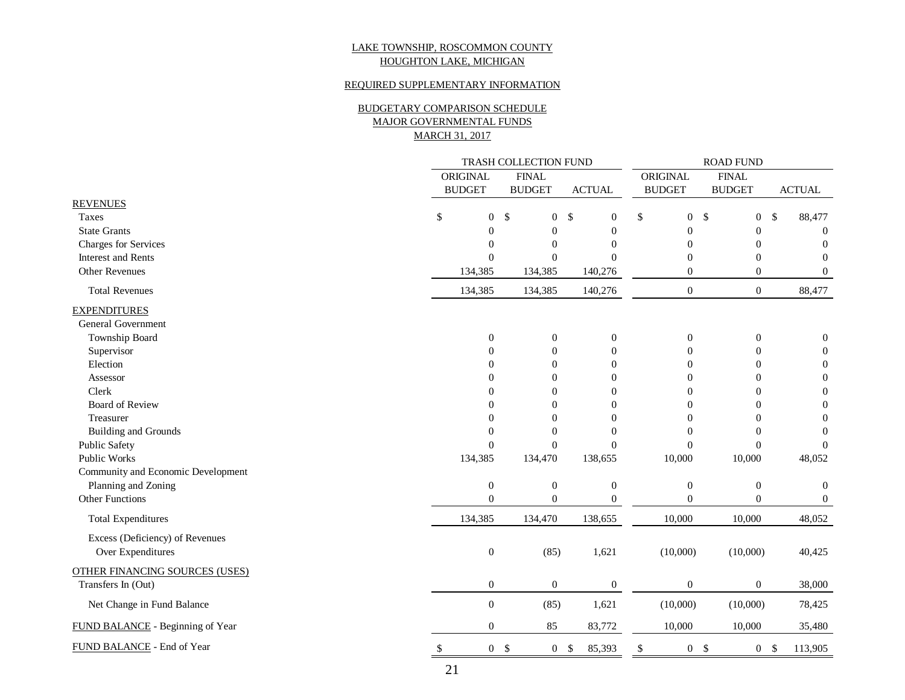#### REQUIRED SUPPLEMENTARY INFORMATION

#### BUDGETARY COMPARISON SCHEDULE MAJOR GOVERNMENTAL FUNDS MARCH 31, 2017

|                                       | TRASH COLLECTION FUND |               |                  |               |                  | <b>ROAD FUND</b> |                  |               |                  |                           |                  |  |
|---------------------------------------|-----------------------|---------------|------------------|---------------|------------------|------------------|------------------|---------------|------------------|---------------------------|------------------|--|
|                                       | <b>ORIGINAL</b>       | <b>FINAL</b>  |                  |               |                  |                  | ORIGINAL         |               | <b>FINAL</b>     |                           |                  |  |
|                                       | <b>BUDGET</b>         | <b>BUDGET</b> |                  |               | <b>ACTUAL</b>    |                  | <b>BUDGET</b>    |               | <b>BUDGET</b>    |                           | <b>ACTUAL</b>    |  |
| <b>REVENUES</b>                       |                       |               |                  |               |                  |                  |                  |               |                  |                           |                  |  |
| Taxes                                 | \$<br>$\overline{0}$  | $\mathcal{S}$ | $\boldsymbol{0}$ | $\mathcal{S}$ | $\overline{0}$   | \$               | $\boldsymbol{0}$ | \$            | $\boldsymbol{0}$ | \$                        | 88,477           |  |
| <b>State Grants</b>                   | $\Omega$              |               | $\theta$         |               | $\theta$         |                  | $\mathbf{0}$     |               | $\boldsymbol{0}$ |                           | $\mathbf{0}$     |  |
| <b>Charges for Services</b>           | $\overline{0}$        |               | $\overline{0}$   |               | $\mathbf{0}$     |                  | $\mathbf{0}$     |               | $\theta$         |                           | $\boldsymbol{0}$ |  |
| <b>Interest and Rents</b>             | $\theta$              |               | $\mathbf{0}$     |               | $\mathbf{0}$     |                  | $\overline{0}$   |               | $\overline{0}$   |                           | $\mathbf{0}$     |  |
| <b>Other Revenues</b>                 | 134,385               |               | 134,385          |               | 140,276          |                  | $\Omega$         |               | $\Omega$         |                           | $\overline{0}$   |  |
| <b>Total Revenues</b>                 | 134,385               |               | 134,385          |               | 140,276          |                  | $\boldsymbol{0}$ |               | $\boldsymbol{0}$ |                           | 88,477           |  |
| <b>EXPENDITURES</b>                   |                       |               |                  |               |                  |                  |                  |               |                  |                           |                  |  |
| General Government                    |                       |               |                  |               |                  |                  |                  |               |                  |                           |                  |  |
| Township Board                        | $\boldsymbol{0}$      |               | $\boldsymbol{0}$ |               | $\boldsymbol{0}$ |                  | $\mathbf{0}$     |               | $\boldsymbol{0}$ |                           | $\boldsymbol{0}$ |  |
| Supervisor                            | $\Omega$              |               | $\Omega$         |               | $\Omega$         |                  | $\Omega$         |               | $\theta$         |                           | $\mathbf{0}$     |  |
| Election                              | $\Omega$              |               | $\Omega$         |               | $\theta$         |                  | $\Omega$         |               | $\Omega$         |                           | $\mathbf{0}$     |  |
| Assessor                              | $\Omega$              |               | $\Omega$         |               | $\overline{0}$   |                  | $\Omega$         |               | $\Omega$         |                           | $\boldsymbol{0}$ |  |
| Clerk                                 | $\Omega$              |               | $\Omega$         |               | $\Omega$         |                  | $\Omega$         |               | $\Omega$         |                           | $\mathbf{0}$     |  |
| <b>Board of Review</b>                | $\Omega$              |               | $\Omega$         |               | $\Omega$         |                  | $\Omega$         |               | $\Omega$         |                           | $\boldsymbol{0}$ |  |
| Treasurer                             | $\Omega$              |               | $\Omega$         |               | $\overline{0}$   |                  | $\Omega$         |               | $\Omega$         |                           | $\boldsymbol{0}$ |  |
| <b>Building and Grounds</b>           | $\Omega$              |               | $\Omega$         |               | $\Omega$         |                  | $\Omega$         |               | $\Omega$         |                           | $\overline{0}$   |  |
| <b>Public Safety</b>                  | $\Omega$              |               | $\mathbf{0}$     |               | $\Omega$         |                  | $\Omega$         |               | $\theta$         |                           | $\mathbf{0}$     |  |
| Public Works                          | 134,385               |               | 134,470          |               | 138,655          |                  | 10,000           |               | 10,000           |                           | 48,052           |  |
| Community and Economic Development    |                       |               |                  |               |                  |                  |                  |               |                  |                           |                  |  |
| Planning and Zoning                   | $\boldsymbol{0}$      |               | $\boldsymbol{0}$ |               | $\boldsymbol{0}$ |                  | $\mathbf{0}$     |               | $\boldsymbol{0}$ |                           | $\boldsymbol{0}$ |  |
| Other Functions                       | $\mathbf{0}$          |               | $\boldsymbol{0}$ |               | $\boldsymbol{0}$ |                  | $\mathbf{0}$     |               | $\boldsymbol{0}$ |                           | $\boldsymbol{0}$ |  |
| <b>Total Expenditures</b>             | 134,385               |               | 134,470          |               | 138,655          |                  | 10,000           |               | 10,000           |                           | 48,052           |  |
| Excess (Deficiency) of Revenues       |                       |               |                  |               |                  |                  |                  |               |                  |                           |                  |  |
| Over Expenditures                     | $\boldsymbol{0}$      |               | (85)             |               | 1,621            |                  | (10,000)         |               | (10,000)         |                           | 40,425           |  |
| <b>OTHER FINANCING SOURCES (USES)</b> |                       |               |                  |               |                  |                  |                  |               |                  |                           |                  |  |
| Transfers In (Out)                    | $\mathbf{0}$          |               | $\mathbf{0}$     |               | $\boldsymbol{0}$ |                  | $\mathbf{0}$     |               | $\mathbf{0}$     |                           | 38,000           |  |
| Net Change in Fund Balance            | $\boldsymbol{0}$      |               | (85)             |               | 1,621            |                  | (10,000)         |               | (10,000)         |                           | 78,425           |  |
| FUND BALANCE - Beginning of Year      | $\overline{0}$        |               | 85               |               | 83,772           |                  | 10,000           |               | 10,000           |                           | 35,480           |  |
| FUND BALANCE - End of Year            | \$<br>0 <sup>5</sup>  |               | $\overline{0}$   | \$            | 85,393           | \$               | $\overline{0}$   | $\sqrt[6]{3}$ | $\boldsymbol{0}$ | $\boldsymbol{\mathsf{S}}$ | 113,905          |  |
|                                       |                       |               |                  |               |                  |                  |                  |               |                  |                           |                  |  |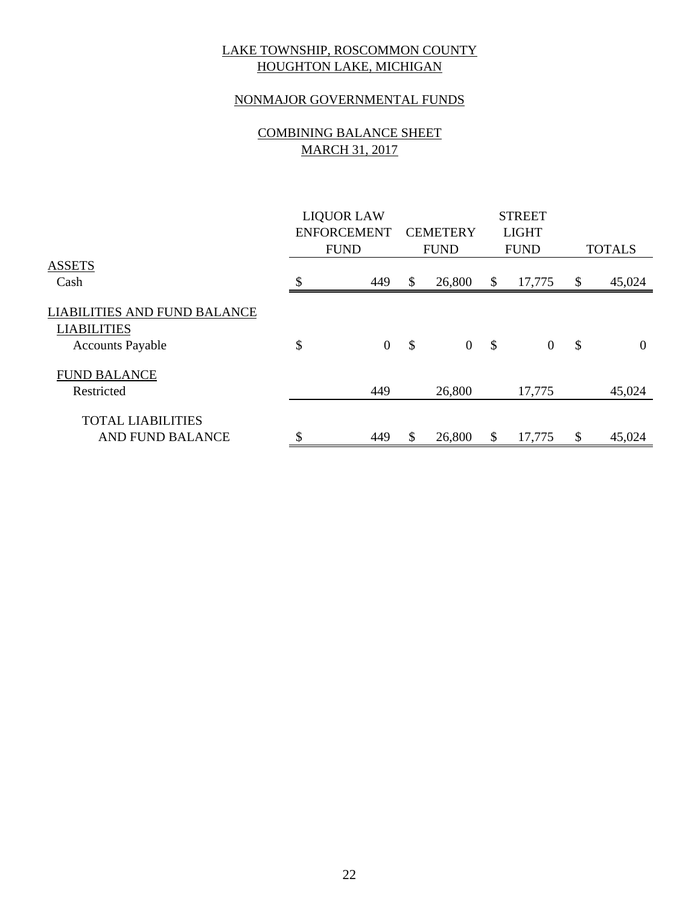# HOUGHTON LAKE, MICHIGAN LAKE TOWNSHIP, ROSCOMMON COUNTY

# NONMAJOR GOVERNMENTAL FUNDS

# MARCH 31, 2017 COMBINING BALANCE SHEET

|                                                           |             | <b>LIQUOR LAW</b>  |    |                 | <b>STREET</b> |                  |               |          |  |
|-----------------------------------------------------------|-------------|--------------------|----|-----------------|---------------|------------------|---------------|----------|--|
|                                                           |             | <b>ENFORCEMENT</b> |    | <b>CEMETERY</b> |               | <b>LIGHT</b>     |               |          |  |
|                                                           | <b>FUND</b> |                    |    | <b>FUND</b>     |               | <b>FUND</b>      | <b>TOTALS</b> |          |  |
| <b>ASSETS</b>                                             |             |                    |    |                 |               |                  |               |          |  |
| Cash                                                      | \$          | 449                | \$ | 26,800          | \$            | 17,775           | \$            | 45,024   |  |
| <b>LIABILITIES AND FUND BALANCE</b><br><b>LIABILITIES</b> |             |                    |    |                 |               |                  |               |          |  |
| <b>Accounts Payable</b>                                   | \$          | $\overline{0}$     | \$ | $\overline{0}$  | $\mathcal{S}$ | $\boldsymbol{0}$ | \$            | $\theta$ |  |
| <b>FUND BALANCE</b><br>Restricted                         |             | 449                |    | 26,800          |               | 17,775           |               | 45,024   |  |
| <b>TOTAL LIABILITIES</b>                                  |             |                    |    |                 |               |                  |               |          |  |
| AND FUND BALANCE                                          | \$          | 449                | \$ | 26,800          | \$            | 17,775           | \$            | 45,024   |  |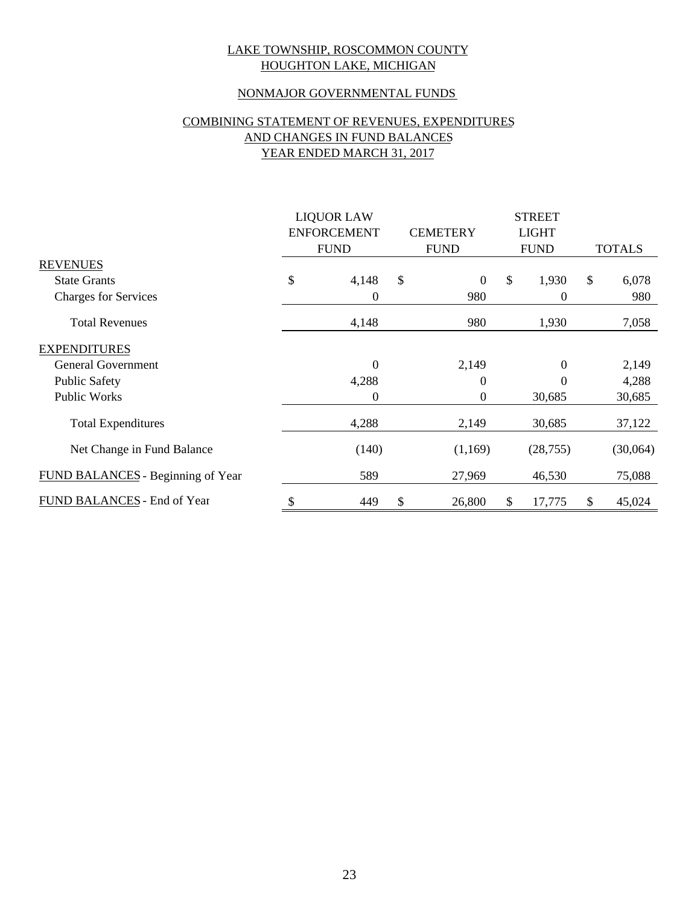#### NONMAJOR GOVERNMENTAL FUNDS

# COMBINING STATEMENT OF REVENUES, EXPENDITURES YEAR ENDED MARCH 31, 2017 AND CHANGES IN FUND BALANCES

|                                   | <b>LIQUOR LAW</b><br><b>ENFORCEMENT</b><br><b>FUND</b> | <b>CEMETERY</b><br><b>FUND</b> |              | <b>STREET</b><br><b>LIGHT</b><br><b>FUND</b> |           | <b>TOTALS</b>             |          |
|-----------------------------------|--------------------------------------------------------|--------------------------------|--------------|----------------------------------------------|-----------|---------------------------|----------|
| <b>REVENUES</b>                   |                                                        |                                |              |                                              |           |                           |          |
| <b>State Grants</b>               | \$<br>4,148                                            | \$                             | $\mathbf{0}$ | $\mathcal{S}$                                | 1,930     | $\boldsymbol{\mathsf{S}}$ | 6,078    |
| <b>Charges for Services</b>       | $\theta$                                               |                                | 980          |                                              | 0         |                           | 980      |
| <b>Total Revenues</b>             | 4,148                                                  |                                | 980          |                                              | 1,930     |                           | 7,058    |
| <b>EXPENDITURES</b>               |                                                        |                                |              |                                              |           |                           |          |
| <b>General Government</b>         | $\Omega$                                               |                                | 2,149        |                                              | $\Omega$  |                           | 2,149    |
| <b>Public Safety</b>              | 4,288                                                  |                                | 0            |                                              | 0         |                           | 4,288    |
| <b>Public Works</b>               | $\theta$                                               |                                | 0            |                                              | 30,685    |                           | 30,685   |
| <b>Total Expenditures</b>         | 4,288                                                  |                                | 2,149        |                                              | 30,685    |                           | 37,122   |
| Net Change in Fund Balance        | (140)                                                  |                                | (1,169)      |                                              | (28, 755) |                           | (30,064) |
| FUND BALANCES - Beginning of Year | 589                                                    |                                | 27,969       |                                              | 46,530    |                           | 75,088   |
| FUND BALANCES - End of Year       | \$<br>449                                              | \$                             | 26,800       | \$                                           | 17,775    | \$                        | 45,024   |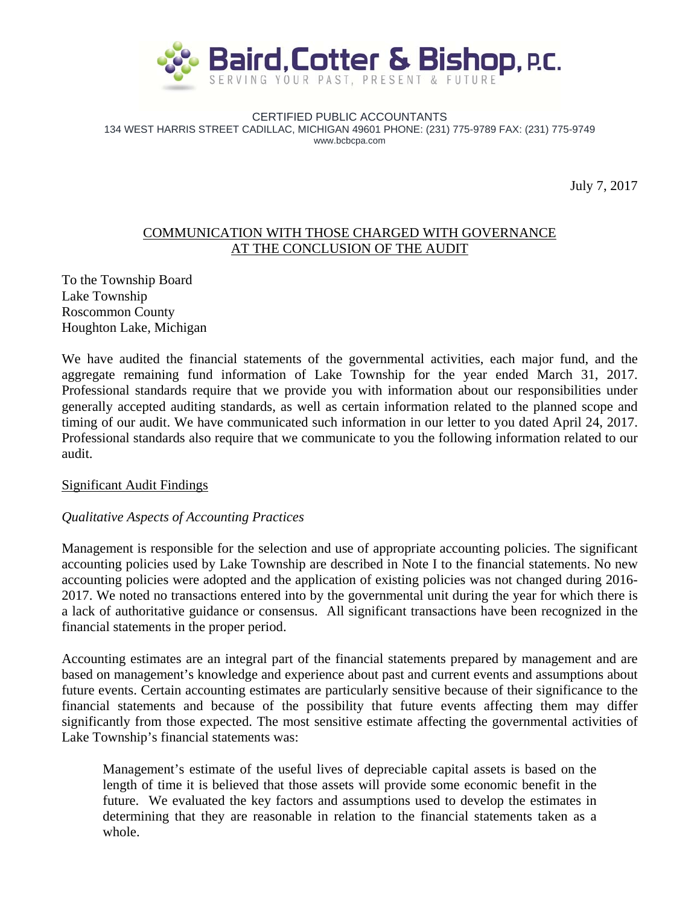

CERTIFIED PUBLIC ACCOUNTANTS 134 WEST HARRIS STREET CADILLAC, MICHIGAN 49601 PHONE: (231) 775-9789 FAX: (231) 775-9749 www.bcbcpa.com

July 7, 2017

## COMMUNICATION WITH THOSE CHARGED WITH GOVERNANCE AT THE CONCLUSION OF THE AUDIT

To the Township Board Lake Township Roscommon County Houghton Lake, Michigan

We have audited the financial statements of the governmental activities, each major fund, and the aggregate remaining fund information of Lake Township for the year ended March 31, 2017. Professional standards require that we provide you with information about our responsibilities under generally accepted auditing standards, as well as certain information related to the planned scope and timing of our audit. We have communicated such information in our letter to you dated April 24, 2017. Professional standards also require that we communicate to you the following information related to our audit.

#### Significant Audit Findings

#### *Qualitative Aspects of Accounting Practices*

Management is responsible for the selection and use of appropriate accounting policies. The significant accounting policies used by Lake Township are described in Note I to the financial statements. No new accounting policies were adopted and the application of existing policies was not changed during 2016- 2017. We noted no transactions entered into by the governmental unit during the year for which there is a lack of authoritative guidance or consensus. All significant transactions have been recognized in the financial statements in the proper period.

Accounting estimates are an integral part of the financial statements prepared by management and are based on management's knowledge and experience about past and current events and assumptions about future events. Certain accounting estimates are particularly sensitive because of their significance to the financial statements and because of the possibility that future events affecting them may differ significantly from those expected. The most sensitive estimate affecting the governmental activities of Lake Township's financial statements was:

Management's estimate of the useful lives of depreciable capital assets is based on the length of time it is believed that those assets will provide some economic benefit in the future. We evaluated the key factors and assumptions used to develop the estimates in determining that they are reasonable in relation to the financial statements taken as a whole.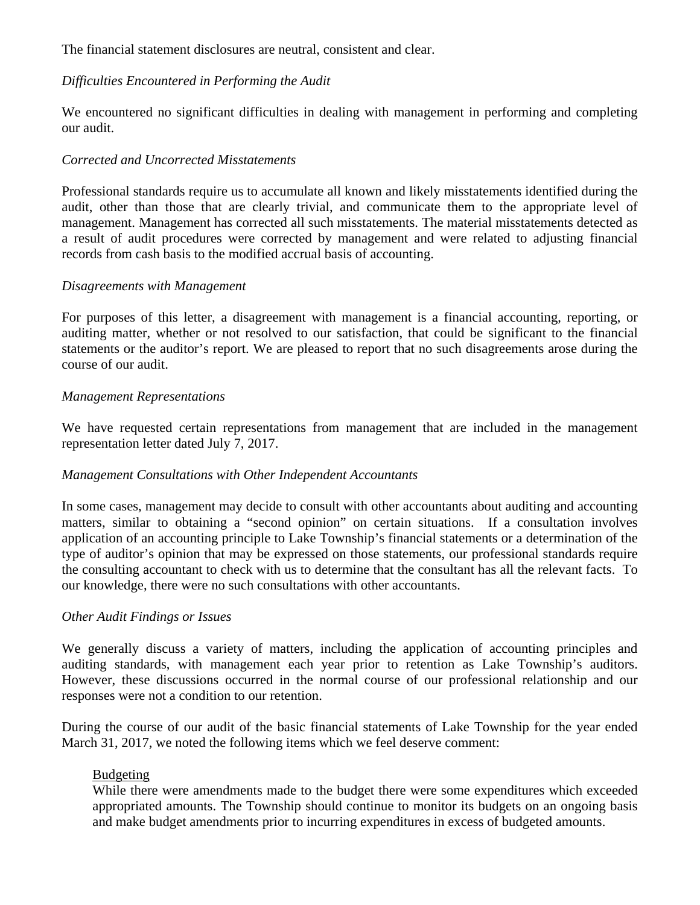The financial statement disclosures are neutral, consistent and clear.

# *Difficulties Encountered in Performing the Audit*

We encountered no significant difficulties in dealing with management in performing and completing our audit.

#### *Corrected and Uncorrected Misstatements*

Professional standards require us to accumulate all known and likely misstatements identified during the audit, other than those that are clearly trivial, and communicate them to the appropriate level of management. Management has corrected all such misstatements. The material misstatements detected as a result of audit procedures were corrected by management and were related to adjusting financial records from cash basis to the modified accrual basis of accounting.

#### *Disagreements with Management*

For purposes of this letter, a disagreement with management is a financial accounting, reporting, or auditing matter, whether or not resolved to our satisfaction, that could be significant to the financial statements or the auditor's report. We are pleased to report that no such disagreements arose during the course of our audit.

#### *Management Representations*

We have requested certain representations from management that are included in the management representation letter dated July 7, 2017.

#### *Management Consultations with Other Independent Accountants*

In some cases, management may decide to consult with other accountants about auditing and accounting matters, similar to obtaining a "second opinion" on certain situations. If a consultation involves application of an accounting principle to Lake Township's financial statements or a determination of the type of auditor's opinion that may be expressed on those statements, our professional standards require the consulting accountant to check with us to determine that the consultant has all the relevant facts. To our knowledge, there were no such consultations with other accountants.

#### *Other Audit Findings or Issues*

We generally discuss a variety of matters, including the application of accounting principles and auditing standards, with management each year prior to retention as Lake Township's auditors. However, these discussions occurred in the normal course of our professional relationship and our responses were not a condition to our retention.

During the course of our audit of the basic financial statements of Lake Township for the year ended March 31, 2017, we noted the following items which we feel deserve comment:

#### Budgeting

While there were amendments made to the budget there were some expenditures which exceeded appropriated amounts. The Township should continue to monitor its budgets on an ongoing basis and make budget amendments prior to incurring expenditures in excess of budgeted amounts.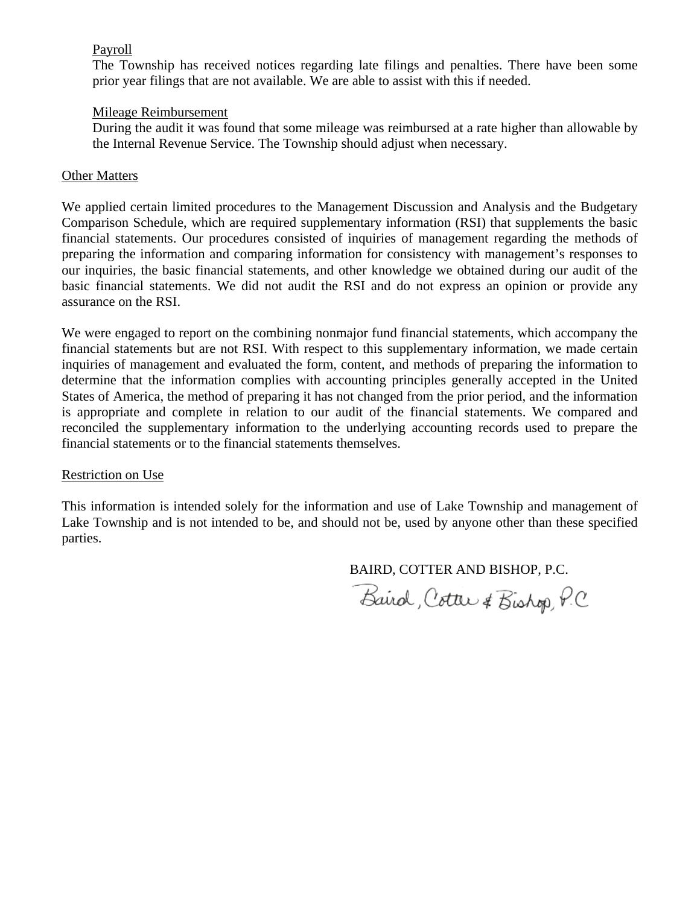#### Payroll

The Township has received notices regarding late filings and penalties. There have been some prior year filings that are not available. We are able to assist with this if needed.

#### Mileage Reimbursement

During the audit it was found that some mileage was reimbursed at a rate higher than allowable by the Internal Revenue Service. The Township should adjust when necessary.

# **Other Matters**

We applied certain limited procedures to the Management Discussion and Analysis and the Budgetary Comparison Schedule, which are required supplementary information (RSI) that supplements the basic financial statements. Our procedures consisted of inquiries of management regarding the methods of preparing the information and comparing information for consistency with management's responses to our inquiries, the basic financial statements, and other knowledge we obtained during our audit of the basic financial statements. We did not audit the RSI and do not express an opinion or provide any assurance on the RSI.

We were engaged to report on the combining nonmajor fund financial statements, which accompany the financial statements but are not RSI. With respect to this supplementary information, we made certain inquiries of management and evaluated the form, content, and methods of preparing the information to determine that the information complies with accounting principles generally accepted in the United States of America, the method of preparing it has not changed from the prior period, and the information is appropriate and complete in relation to our audit of the financial statements. We compared and reconciled the supplementary information to the underlying accounting records used to prepare the financial statements or to the financial statements themselves.

# Restriction on Use

This information is intended solely for the information and use of Lake Township and management of Lake Township and is not intended to be, and should not be, used by anyone other than these specified parties.

BAIRD, COTTER AND BISHOP, P.C.

Baird, Cotter & Bishop, P.C.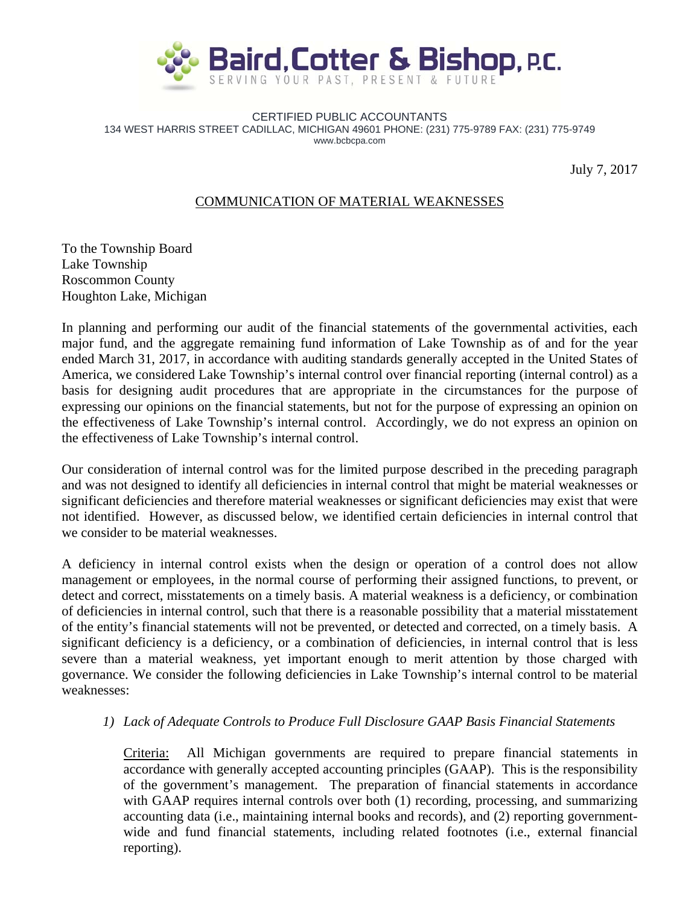

CERTIFIED PUBLIC ACCOUNTANTS 134 WEST HARRIS STREET CADILLAC, MICHIGAN 49601 PHONE: (231) 775-9789 FAX: (231) 775-9749 www.bcbcpa.com

July 7, 2017

# COMMUNICATION OF MATERIAL WEAKNESSES

To the Township Board Lake Township Roscommon County Houghton Lake, Michigan

In planning and performing our audit of the financial statements of the governmental activities, each major fund, and the aggregate remaining fund information of Lake Township as of and for the year ended March 31, 2017, in accordance with auditing standards generally accepted in the United States of America, we considered Lake Township's internal control over financial reporting (internal control) as a basis for designing audit procedures that are appropriate in the circumstances for the purpose of expressing our opinions on the financial statements, but not for the purpose of expressing an opinion on the effectiveness of Lake Township's internal control. Accordingly, we do not express an opinion on the effectiveness of Lake Township's internal control.

Our consideration of internal control was for the limited purpose described in the preceding paragraph and was not designed to identify all deficiencies in internal control that might be material weaknesses or significant deficiencies and therefore material weaknesses or significant deficiencies may exist that were not identified. However, as discussed below, we identified certain deficiencies in internal control that we consider to be material weaknesses.

A deficiency in internal control exists when the design or operation of a control does not allow management or employees, in the normal course of performing their assigned functions, to prevent, or detect and correct, misstatements on a timely basis. A material weakness is a deficiency, or combination of deficiencies in internal control, such that there is a reasonable possibility that a material misstatement of the entity's financial statements will not be prevented, or detected and corrected, on a timely basis. A significant deficiency is a deficiency, or a combination of deficiencies, in internal control that is less severe than a material weakness, yet important enough to merit attention by those charged with governance. We consider the following deficiencies in Lake Township's internal control to be material weaknesses:

#### *1) Lack of Adequate Controls to Produce Full Disclosure GAAP Basis Financial Statements*

Criteria: All Michigan governments are required to prepare financial statements in accordance with generally accepted accounting principles (GAAP). This is the responsibility of the government's management. The preparation of financial statements in accordance with GAAP requires internal controls over both (1) recording, processing, and summarizing accounting data (i.e., maintaining internal books and records), and (2) reporting governmentwide and fund financial statements, including related footnotes (i.e., external financial reporting).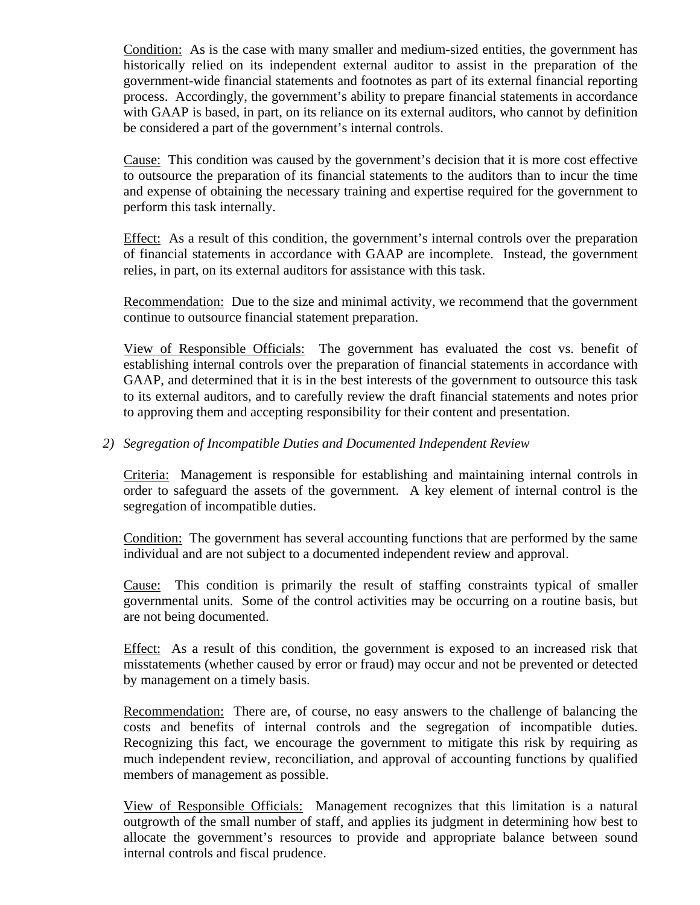Condition: As is the case with many smaller and medium-sized entities, the government has historically relied on its independent external auditor to assist in the preparation of the government-wide financial statements and footnotes as part of its external financial reporting process. Accordingly, the government's ability to prepare financial statements in accordance with GAAP is based, in part, on its reliance on its external auditors, who cannot by definition be considered a part of the government's internal controls.

Cause: This condition was caused by the government's decision that it is more cost effective to outsource the preparation of its financial statements to the auditors than to incur the time and expense of obtaining the necessary training and expertise required for the government to perform this task internally.

Effect: As a result of this condition, the government's internal controls over the preparation of financial statements in accordance with GAAP are incomplete. Instead, the government relies, in part, on its external auditors for assistance with this task.

Recommendation: Due to the size and minimal activity, we recommend that the government continue to outsource financial statement preparation.

View of Responsible Officials: The government has evaluated the cost vs. benefit of establishing internal controls over the preparation of financial statements in accordance with GAAP, and determined that it is in the best interests of the government to outsource this task to its external auditors, and to carefully review the draft financial statements and notes prior to approving them and accepting responsibility for their content and presentation.

### *2) Segregation of Incompatible Duties and Documented Independent Review*

Criteria: Management is responsible for establishing and maintaining internal controls in order to safeguard the assets of the government. A key element of internal control is the segregation of incompatible duties.

Condition: The government has several accounting functions that are performed by the same individual and are not subject to a documented independent review and approval.

Cause: This condition is primarily the result of staffing constraints typical of smaller governmental units. Some of the control activities may be occurring on a routine basis, but are not being documented.

Effect: As a result of this condition, the government is exposed to an increased risk that misstatements (whether caused by error or fraud) may occur and not be prevented or detected by management on a timely basis.

Recommendation: There are, of course, no easy answers to the challenge of balancing the costs and benefits of internal controls and the segregation of incompatible duties. Recognizing this fact, we encourage the government to mitigate this risk by requiring as much independent review, reconciliation, and approval of accounting functions by qualified members of management as possible.

View of Responsible Officials: Management recognizes that this limitation is a natural outgrowth of the small number of staff, and applies its judgment in determining how best to allocate the government's resources to provide and appropriate balance between sound internal controls and fiscal prudence.